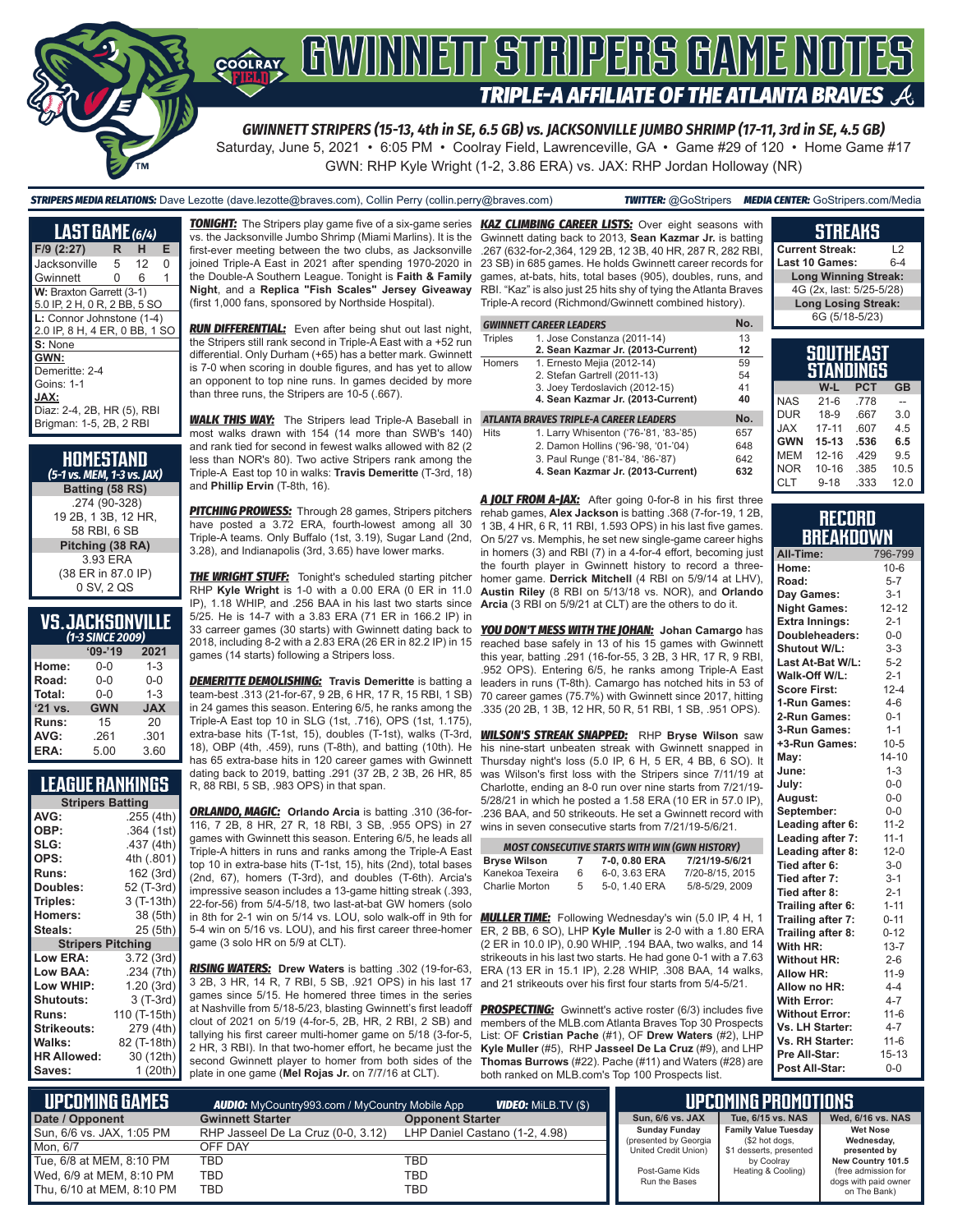

# **TRIPLE-A AFFILIATE OF THE ATLANTA BRAVES**  $\mathcal{A}$

*GWINNETT STRIPERS (15-13, 4th in SE, 6.5 GB) vs. JACKSONVILLE JUMBO SHRIMP (17-11, 3rd in SE, 4.5 GB)*

Saturday, June 5, 2021 • 6:05 PM • Coolray Field, Lawrenceville, GA • Game #29 of 120 • Home Game #17 GWN: RHP Kyle Wright (1-2, 3.86 ERA) vs. JAX: RHP Jordan Holloway (NR)

#### *STRIPERS MEDIA RELATIONS:* Dave Lezotte (dave.lezotte@braves.com), Collin Perry (collin.perry@braves.com) *TWITTER:* @GoStripers *MEDIA CENTER:* GoStripers.com/Media

| LAST GAME (6/4)               |   |    |   |  |
|-------------------------------|---|----|---|--|
| $F/9$ (2:27)                  | R | н  | Е |  |
| Jacksonville                  | 5 | 12 | O |  |
| Gwinnett                      | 0 | 6  | 1 |  |
| W: Braxton Garrett (3-1)      |   |    |   |  |
| 5.0 IP, 2 H, 0 R, 2 BB, 5 SO  |   |    |   |  |
| L: Connor Johnstone (1-4)     |   |    |   |  |
| 2.0 IP, 8 H, 4 ER, 0 BB, 1 SO |   |    |   |  |
| S: None                       |   |    |   |  |
| GWN:                          |   |    |   |  |
| Demeritte: 2-4                |   |    |   |  |
| Goins: 1-1                    |   |    |   |  |
| JAX:                          |   |    |   |  |
| Diaz: 2-4, 2B, HR (5), RBI    |   |    |   |  |
| Brigman: 1-5, 2B, 2 RBI       |   |    |   |  |

| HOMESTAND<br>(5-1 vs. MEM, 1-3 vs. JAX) |
|-----------------------------------------|
| Batting (58 RS)                         |
| .274 (90-328)                           |
| 19 2B, 1 3B, 12 HR,                     |
| 58 RBI, 6 SB                            |
| Pitching (38 RA)                        |
| 3.93 FRA                                |
| (38 ER in 87.0 IP)                      |
| 0 SV, 2 QS                              |

### **VS. JACKSONVILLE**

| (1-3 SINCE 2009) |            |            |  |  |
|------------------|------------|------------|--|--|
|                  | $09 - 19$  | 2021       |  |  |
| Home:            | $0 - 0$    | $1 - 3$    |  |  |
| Road:            | $0 - 0$    | $0 - 0$    |  |  |
| Total:           | $0 - 0$    | $1 - 3$    |  |  |
| $'21$ vs.        | <b>GWN</b> | <b>JAX</b> |  |  |
| Runs:            | 15         | 20         |  |  |
| AVG:             | .261       | .301       |  |  |
| ERA:             | 5.00       | 3.60       |  |  |

### **LEAGUE RANKINGS**

| <b>Stripers Batting</b>  |              |  |  |
|--------------------------|--------------|--|--|
| AVG:                     | .255 (4th)   |  |  |
| OBP:                     | .364 (1st)   |  |  |
| SLG:                     | .437 (4th)   |  |  |
| OPS:                     | 4th (.801)   |  |  |
| <b>Runs:</b>             | 162 (3rd)    |  |  |
| Doubles:                 | 52 (T-3rd)   |  |  |
| Triples:                 | 3 (T-13th)   |  |  |
| Homers:                  | 38 (5th)     |  |  |
| Steals:                  | 25 (5th)     |  |  |
| <b>Stripers Pitching</b> |              |  |  |
| <b>Low ERA:</b>          | 3.72 (3rd)   |  |  |
| Low BAA:                 | .234 (7th)   |  |  |
| Low WHIP:                | 1.20 (3rd)   |  |  |
| <b>Shutouts:</b>         | 3 (T-3rd)    |  |  |
| Runs:                    | 110 (T-15th) |  |  |
| Strikeouts:              | 279 (4th)    |  |  |
| Walks:                   | 82 (T-18th)  |  |  |
| <b>HR Allowed:</b>       | 30 (12th)    |  |  |
| Saves:                   | 1(20th)      |  |  |

vs. the Jacksonville Jumbo Shrimp (Miami Marlins). It is the first-ever meeting between the two clubs, as Jacksonville joined Triple-A East in 2021 after spending 1970-2020 in the Double-A Southern League. Tonight is **Faith & Family Night**, and a **Replica "Fish Scales" Jersey Giveaway** (first 1,000 fans, sponsored by Northside Hospital).

*RUN DIFFERENTIAL:* Even after being shut out last night, the Stripers still rank second in Triple-A East with a +52 run differential. Only Durham (+65) has a better mark. Gwinnett is 7-0 when scoring in double figures, and has yet to allow an opponent to top nine runs. In games decided by more than three runs, the Stripers are 10-5 (.667).

**WALK THIS WAY:** The Stripers lead Triple-A Baseball in most walks drawn with 154 (14 more than SWB's 140) and rank tied for second in fewest walks allowed with 82 (2 less than NOR's 80). Two active Stripers rank among the Triple-A East top 10 in walks: **Travis Demeritte** (T-3rd, 18) and **Phillip Ervin** (T-8th, 16).

*PITCHING PROWESS:* Through 28 games, Stripers pitchers have posted a 3.72 ERA, fourth-lowest among all 30 Triple-A teams. Only Buffalo (1st, 3.19), Sugar Land (2nd, 3.28), and Indianapolis (3rd, 3.65) have lower marks.

**THE WRIGHT STUFF:** Tonight's scheduled starting pitcher RHP **Kyle Wright** is 1-0 with a 0.00 ERA (0 ER in 11.0 IP), 1.18 WHIP, and .256 BAA in his last two starts since 5/25. He is 14-7 with a 3.83 ERA (71 ER in 166.2 IP) in 33 carreer games (30 starts) with Gwinnett dating back to 2018, including 8-2 with a 2.83 ERA (26 ER in 82.2 IP) in 15 games (14 starts) following a Stripers loss.

*DEMERITTE DEMOLISHING:* **Travis Demeritte** is batting a team-best .313 (21-for-67, 9 2B, 6 HR, 17 R, 15 RBI, 1 SB) in 24 games this season. Entering 6/5, he ranks among the Triple-A East top 10 in SLG (1st, .716), OPS (1st, 1.175), extra-base hits (T-1st, 15), doubles (T-1st), walks (T-3rd, 18), OBP (4th, .459), runs (T-8th), and batting (10th). He has 65 extra-base hits in 120 career games with Gwinnett dating back to 2019, batting .291 (37 2B, 2 3B, 26 HR, 85 R, 88 RBI, 5 SB, .983 OPS) in that span.

*ORLANDO, MAGIC:* **Orlando Arcia** is batting .310 (36-for-116, 7 2B, 8 HR, 27 R, 18 RBI, 3 SB, .955 OPS) in 27 games with Gwinnett this season. Entering 6/5, he leads all Triple-A hitters in runs and ranks among the Triple-A East top 10 in extra-base hits (T-1st, 15), hits (2nd), total bases (2nd, 67), homers (T-3rd), and doubles (T-6th). Arcia's impressive season includes a 13-game hitting streak (.393, 22-for-56) from 5/4-5/18, two last-at-bat GW homers (solo in 8th for 2-1 win on 5/14 vs. LOU, solo walk-off in 9th for *MULLER TIME:* Following Wednesday's win (5.0 IP, 4 H, 1 5-4 win on 5/16 vs. LOU), and his first career three-homer game (3 solo HR on 5/9 at CLT).

*RISING WATERS:* **Drew Waters** is batting .302 (19-for-63, 3 2B, 3 HR, 14 R, 7 RBI, 5 SB, .921 OPS) in his last 17 games since 5/15. He homered three times in the series at Nashville from 5/18-5/23, blasting Gwinnett's first leadoff clout of 2021 on 5/19 (4-for-5, 2B, HR, 2 RBI, 2 SB) and tallying his first career multi-homer game on 5/18 (3-for-5, 2 HR, 3 RBI). In that two-homer effort, he became just the second Gwinnett player to homer from both sides of the plate in one game (**Mel Rojas Jr.** on 7/7/16 at CLT).

*TONIGHT:* The Stripers play game five of a six-game series *KAZ CLIMBING CAREER LISTS:* Over eight seasons with Gwinnett dating back to 2013, **Sean Kazmar Jr.** is batting .267 (632-for-2,364, 129 2B, 12 3B, 40 HR, 287 R, 282 RBI, 23 SB) in 685 games. He holds Gwinnett career records for games, at-bats, hits, total bases (905), doubles, runs, and RBI. "Kaz" is also just 25 hits shy of tying the Atlanta Braves Triple-A record (Richmond/Gwinnett combined history).

|                | <b>GWINNETT CAREER LEADERS</b>         | No. |
|----------------|----------------------------------------|-----|
| <b>Triples</b> | 1. Jose Constanza (2011-14)            | 13  |
|                | 2. Sean Kazmar Jr. (2013-Current)      | 12  |
| Homers         | 1. Ernesto Mejia (2012-14)             | 59  |
|                | 2. Stefan Gartrell (2011-13)           | 54  |
|                | 3. Joey Terdoslavich (2012-15)         | 41  |
|                | 4. Sean Kazmar Jr. (2013-Current)      | 40  |
|                | ATLANTA BRAVES TRIPLE-A CAREER LEADERS | No. |
| <b>Hits</b>    | 1. Larry Whisenton ('76-'81, '83-'85)  | 657 |
|                | 2. Damon Hollins ('96-'98, '01-'04)    | 648 |
|                | 3. Paul Runge ('81-'84, '86-'87)       | 642 |
|                | 4. Sean Kazmar Jr. (2013-Current)      | 632 |

*A JOLT FROM A-JAX:* After going 0-for-8 in his first three rehab games, **Alex Jackson** is batting .368 (7-for-19, 1 2B, 1 3B, 4 HR, 6 R, 11 RBI, 1.593 OPS) in his last five games. On 5/27 vs. Memphis, he set new single-game career highs in homers (3) and RBI (7) in a 4-for-4 effort, becoming just the fourth player in Gwinnett history to record a threehomer game. **Derrick Mitchell** (4 RBI on 5/9/14 at LHV), **Austin Riley** (8 RBI on 5/13/18 vs. NOR), and **Orlando Arcia** (3 RBI on 5/9/21 at CLT) are the others to do it.

*YOU DON'T MESS WITH THE JOHAN:* **Johan Camargo** has reached base safely in 13 of his 15 games with Gwinnett this year, batting .291 (16-for-55, 3 2B, 3 HR, 17 R, 9 RBI, .952 OPS). Entering 6/5, he ranks among Triple-A East leaders in runs (T-8th). Camargo has notched hits in 53 of 70 career games (75.7%) with Gwinnett since 2017, hitting .335 (20 2B, 1 3B, 12 HR, 50 R, 51 RBI, 1 SB, .951 OPS).

*WILSON'S STREAK SNAPPED:* RHP **Bryse Wilson** saw his nine-start unbeaten streak with Gwinnett snapped in Thursday night's loss (5.0 IP, 6 H, 5 ER, 4 BB, 6 SO). It was Wilson's first loss with the Stripers since 7/11/19 at Charlotte, ending an 8-0 run over nine starts from 7/21/19- 5/28/21 in which he posted a 1.58 ERA (10 ER in 57.0 IP), .236 BAA, and 50 strikeouts. He set a Gwinnett record with wins in seven consecutive starts from 7/21/19-5/6/21.

| <b>MOST CONSECUTIVE STARTS WITH WIN (GWN HISTORY)</b> |    |               |                 |  |
|-------------------------------------------------------|----|---------------|-----------------|--|
| <b>Bryse Wilson</b>                                   | 7  | 7-0, 0.80 ERA | 7/21/19-5/6/21  |  |
| Kanekoa Texeira                                       | 6  | 6-0, 3.63 ERA | 7/20-8/15, 2015 |  |
| Charlie Morton                                        | 5. | 5-0, 1.40 ERA | 5/8-5/29, 2009  |  |

ER, 2 BB, 6 SO), LHP **Kyle Muller** is 2-0 with a 1.80 ERA (2 ER in 10.0 IP), 0.90 WHIP, .194 BAA, two walks, and 14 strikeouts in his last two starts. He had gone 0-1 with a 7.63 ERA (13 ER in 15.1 IP), 2.28 WHIP, .308 BAA, 14 walks, and 21 strikeouts over his first four starts from 5/4-5/21.

**PROSPECTING:** Gwinnett's active roster (6/3) includes five members of the MLB.com Atlanta Braves Top 30 Prospects List: OF **Cristian Pache** (#1), OF **Drew Waters** (#2), LHP **Kyle Muller** (#5), RHP **Jasseel De La Cruz** (#9), and LHP **Thomas Burrows** (#22). Pache (#11) and Waters (#28) are both ranked on MLB.com's Top 100 Prospects list.

| <b>Current Streak:</b>      | 12  |  |
|-----------------------------|-----|--|
| Last 10 Games:              | 6-4 |  |
| <b>Long Winning Streak:</b> |     |  |
| 4G (2x, last: 5/25-5/28)    |     |  |
| <b>Long Losing Streak:</b>  |     |  |
| 6G (5/18-5/23)              |     |  |
|                             |     |  |
|                             |     |  |

**STREAKS**

|            | auumtaal<br>STANDINGS |            |           |
|------------|-----------------------|------------|-----------|
|            | W-L                   | <b>PCT</b> | <b>GB</b> |
| <b>NAS</b> | $21 - 6$              | .778       |           |
| <b>DUR</b> | $18-9$                | .667       | 3.0       |
| <b>XAL</b> | $17 - 11$             | .607       | 45        |
| <b>GWN</b> | $15 - 13$             | .536       | 6.5       |
| <b>MEM</b> | $12 - 16$             | .429       | 9.5       |
| <b>NOR</b> | $10 - 16$             | .385       | 10.5      |
| <b>CLT</b> | $9 - 18$              | .333       | 12.0      |

#### **RECORD RRFAKNOWN**

| All-Time:             | 796-799   |
|-----------------------|-----------|
| Home:                 | $10 - 6$  |
| Road:                 | $5 - 7$   |
| Day Games:            | $3-1$     |
| <b>Night Games:</b>   | $12 - 12$ |
| <b>Extra Innings:</b> | $2 - 1$   |
| Doubleheaders:        | $0-0$     |
| <b>Shutout W/L:</b>   | $3 - 3$   |
| Last At-Bat W/L:      | $5 - 2$   |
| Walk-Off W/L:         | $2 - 1$   |
| <b>Score First:</b>   | $12 - 4$  |
| 1-Run Games:          | $4 - 6$   |
| 2-Run Games:          | $0 - 1$   |
| 3-Run Games:          | $1 - 1$   |
| +3-Run Games:         | $10 - 5$  |
| May:                  | $14 - 10$ |
| June:                 | $1 - 3$   |
| July:                 | $0-0$     |
| August:               | $0-0$     |
| September:            | $0-0$     |
| Leading after 6:      | $11 - 2$  |
| Leading after 7:      | $11 - 1$  |
| Leading after 8:      | $12 - 0$  |
| Tied after 6:         | $3-0$     |
| Tied after 7:         | $3 - 1$   |
| Tied after 8:         | $2 - 1$   |
| Trailing after 6:     | $1 - 11$  |
| Trailing after 7:     | $0 - 11$  |
| Trailing after 8:     | $0 - 12$  |
| With HR:              | $13 - 7$  |
| <b>Without HR:</b>    | $2 - 6$   |
| <b>Allow HR:</b>      | $11-9$    |
| Allow no HR:          | $4 - 4$   |
| <b>With Error:</b>    | $4 - 7$   |
| <b>Without Error:</b> | $11-6$    |
| Vs. LH Starter:       | $4 - 7$   |
| Vs. RH Starter:       | $11 - 6$  |
| Pre All-Star:         | $15 - 13$ |
| Post All-Star:        | $0 - 0$   |

| L UPCOMIÑG GAMES I        | <b>AUDIO:</b> MyCountry993.com / MyCountry Mobile App | <b>VIDEO:</b> MiLB.TV (\$)     |                                               | UPCOMING PROMOTIONS ,                         |                                             |
|---------------------------|-------------------------------------------------------|--------------------------------|-----------------------------------------------|-----------------------------------------------|---------------------------------------------|
| Date / Opponent           | <b>Gwinnett Starter</b>                               | <b>Opponent Starter</b>        | Sun, 6/6 vs. JAX                              | Tue, 6/15 vs. NAS                             | Wed, 6/16 vs. NAS                           |
| Sun, 6/6 vs. JAX, 1:05 PM | RHP Jasseel De La Cruz (0-0, 3.12)                    | LHP Daniel Castano (1-2, 4.98) | <b>Sunday Funday</b><br>(presented by Georgia | <b>Family Value Tuesday</b><br>(\$2 hot dogs, | <b>Wet Nose</b><br>Wednesday,               |
| Mon. 6/7                  | OFF DAY                                               |                                | <b>United Credit Union)</b>                   | \$1 desserts, presented                       | presented by                                |
| Tue, 6/8 at MEM, 8:10 PM  | TBD                                                   | TBD                            |                                               | by Coolray                                    | New Country 101.5                           |
| Wed, 6/9 at MEM, 8:10 PM  | <b>TBD</b>                                            | TBD                            | Post-Game Kids<br>Run the Bases               | Heating & Cooling)                            | (free admission for<br>dogs with paid owner |
| Thu, 6/10 at MEM, 8:10 PM | <b>TBD</b>                                            | TBD                            |                                               |                                               | on The Bank)                                |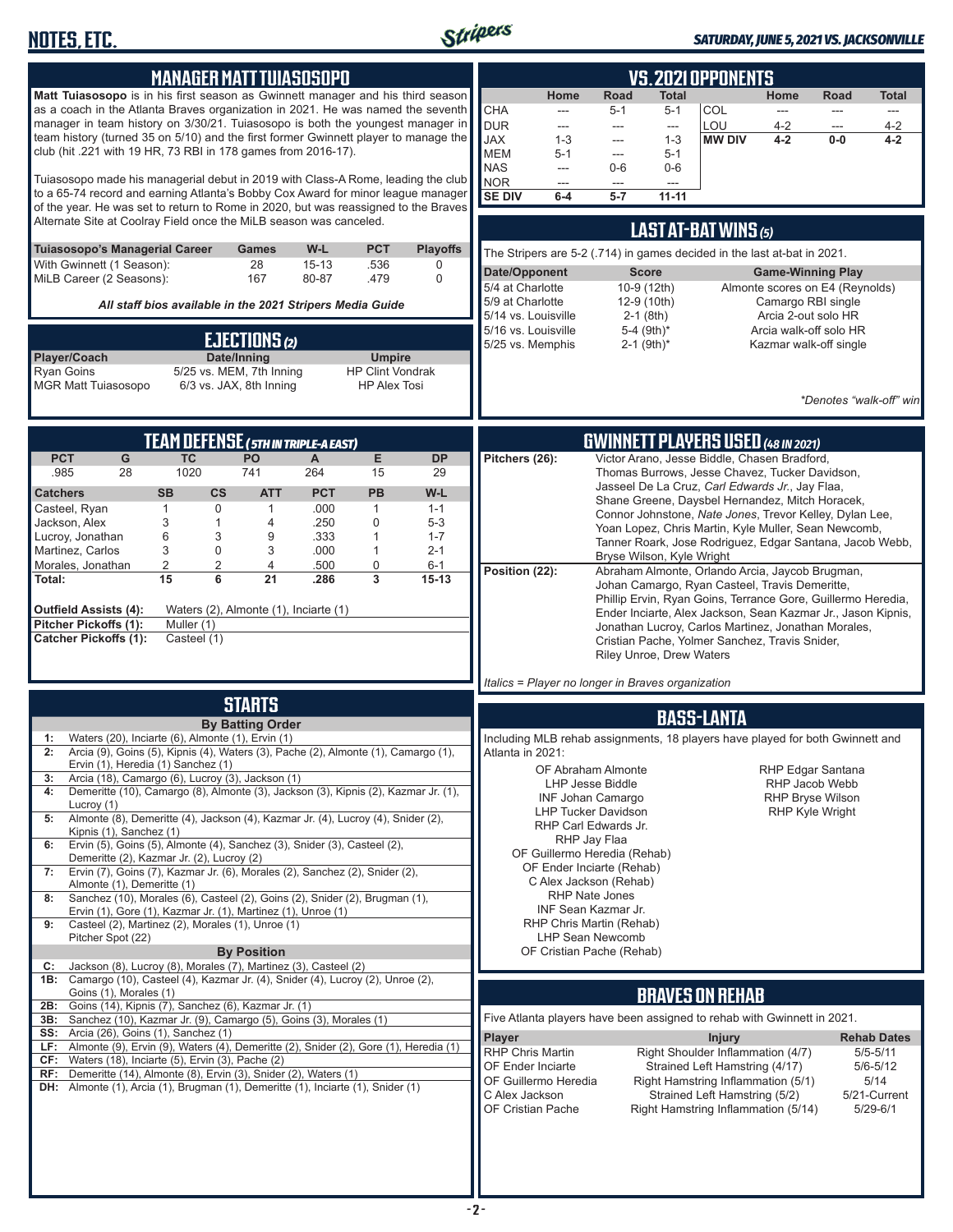

### *SATURDAY, JUNE 5, 2021 VS. JACKSONVILLE*

| <b>MANAGER MATT TUIASOSOPO</b><br>Matt Tuiasosopo is in his first season as Gwinnett manager and his third season<br>as a coach in the Atlanta Braves organization in 2021. He was named the seventh<br>manager in team history on 3/30/21. Tuiasosopo is both the youngest manager in<br>team history (turned 35 on 5/10) and the first former Gwinnett player to manage the<br>club (hit .221 with 19 HR, 73 RBI in 178 games from 2016-17).<br>Tuiasosopo made his managerial debut in 2019 with Class-A Rome, leading the club<br>to a 65-74 record and earning Atlanta's Bobby Cox Award for minor league manager<br>of the year. He was set to return to Rome in 2020, but was reassigned to the Braves<br>Alternate Site at Coolray Field once the MiLB season was canceled.<br>Tuiasosopo's Managerial Career<br>W-L<br><b>PCT</b><br><b>Playoffs</b><br>Games<br>With Gwinnett (1 Season):<br>28<br>$15 - 13$<br>.536<br>0<br>MiLB Career (2 Seasons):<br>167<br>80-87<br>.479<br>$\mathbf 0$<br>All staff bios available in the 2021 Stripers Media Guide<br>EJECTIONS (2)<br>Date/Inning<br>Player/Coach<br><b>Umpire</b><br>5/25 vs. MEM, 7th Inning<br><b>Ryan Goins</b><br><b>HP Clint Vondrak</b>   | <b>VS. 2021 OPPONENTS</b><br>Home<br>Road<br>Total<br>Home<br>Road<br><b>Total</b><br>COL<br><b>CHA</b><br>$5 - 1$<br>$5 - 1$<br>---<br>---<br>---<br>$---$<br><b>DUR</b><br>LOU<br>$4 - 2$<br>4-2<br>$\overline{\phantom{a}}$<br>---<br>$\qquad \qquad \cdots$<br>---<br><b>JAX</b><br><b>MW DIV</b><br>$4 - 2$<br>$1 - 3$<br>$1 - 3$<br>$0-0$<br>4-2<br>---<br><b>MEM</b><br>$5 - 1$<br>$5 - 1$<br>---<br><b>NAS</b><br>$0-6$<br>$0-6$<br>$\overline{\phantom{a}}$<br><b>NOR</b><br>---<br>---<br>---<br><b>SE DIV</b><br>$6-4$<br>5-7<br>$11 - 11$<br>LAST AT-BAT WINS (5)<br>The Stripers are 5-2 (.714) in games decided in the last at-bat in 2021.<br>Date/Opponent<br><b>Score</b><br><b>Game-Winning Play</b><br>5/4 at Charlotte<br>10-9 (12th)<br>Almonte scores on E4 (Reynolds)<br>5/9 at Charlotte<br>12-9 (10th)<br>Camargo RBI single<br>5/14 vs. Louisville<br>$2-1$ (8th)<br>Arcia 2-out solo HR<br>5-4 (9th)*<br>5/16 vs. Louisville<br>Arcia walk-off solo HR<br>5/25 vs. Memphis<br>$2-1$ (9th) <sup>*</sup><br>Kazmar walk-off single |
|--------------------------------------------------------------------------------------------------------------------------------------------------------------------------------------------------------------------------------------------------------------------------------------------------------------------------------------------------------------------------------------------------------------------------------------------------------------------------------------------------------------------------------------------------------------------------------------------------------------------------------------------------------------------------------------------------------------------------------------------------------------------------------------------------------------------------------------------------------------------------------------------------------------------------------------------------------------------------------------------------------------------------------------------------------------------------------------------------------------------------------------------------------------------------------------------------------------------|-------------------------------------------------------------------------------------------------------------------------------------------------------------------------------------------------------------------------------------------------------------------------------------------------------------------------------------------------------------------------------------------------------------------------------------------------------------------------------------------------------------------------------------------------------------------------------------------------------------------------------------------------------------------------------------------------------------------------------------------------------------------------------------------------------------------------------------------------------------------------------------------------------------------------------------------------------------------------------------------------------------------------------------------------------------|
| <b>MGR Matt Tuiasosopo</b><br>6/3 vs. JAX, 8th Inning<br><b>HP Alex Tosi</b>                                                                                                                                                                                                                                                                                                                                                                                                                                                                                                                                                                                                                                                                                                                                                                                                                                                                                                                                                                                                                                                                                                                                       | *Denotes "walk-off" win                                                                                                                                                                                                                                                                                                                                                                                                                                                                                                                                                                                                                                                                                                                                                                                                                                                                                                                                                                                                                                     |
| TEAM DEFENSE ( 5TH IN TRIPLE-A EAST)<br>E<br><b>PCT</b><br><b>TC</b><br>PO<br>G<br>$\mathsf{A}$<br><b>DP</b><br>1020<br>741<br>.985<br>28<br>264<br>15<br>29<br><b>PCT</b><br><b>SB</b><br>$\mathsf{cs}$<br><b>ATT</b><br><b>PB</b><br>W-L<br><b>Catchers</b><br>$\mathbf 0$<br>.000<br>Casteel, Ryan<br>$\mathbf{1}$<br>$\mathbf{1}$<br>$\mathbf{1}$<br>$1 - 1$<br>Jackson, Alex<br>3<br>1<br>.250<br>0<br>$5 - 3$<br>4<br>6<br>3<br>.333<br>$\mathbf{1}$<br>Lucroy, Jonathan<br>9<br>$1 - 7$<br>3<br>$\mathbf 0$<br>Martinez, Carlos<br>3<br>.000<br>$\mathbf{1}$<br>$2 - 1$                                                                                                                                                                                                                                                                                                                                                                                                                                                                                                                                                                                                                                     | <b>GWINNETT PLAYERS USED (48 IN 2021)</b><br>Victor Arano, Jesse Biddle, Chasen Bradford,<br>Pitchers (26):<br>Thomas Burrows, Jesse Chavez, Tucker Davidson,<br>Jasseel De La Cruz, Carl Edwards Jr., Jay Flaa,<br>Shane Greene, Daysbel Hernandez, Mitch Horacek,<br>Connor Johnstone, Nate Jones, Trevor Kelley, Dylan Lee,<br>Yoan Lopez, Chris Martin, Kyle Muller, Sean Newcomb,<br>Tanner Roark, Jose Rodriguez, Edgar Santana, Jacob Webb,<br>Bryse Wilson, Kyle Wright                                                                                                                                                                                                                                                                                                                                                                                                                                                                                                                                                                             |
| 2<br>2<br>0<br>Morales, Jonathan<br>4<br>.500<br>$6 - 1$<br>15<br>6<br>21<br>3<br>.286<br>$15 - 13$<br>Total:<br><b>Outfield Assists (4):</b><br>Waters (2), Almonte (1), Inciarte (1)<br>Pitcher Pickoffs (1):<br>Muller (1)<br><b>Catcher Pickoffs (1):</b><br>Casteel (1)                                                                                                                                                                                                                                                                                                                                                                                                                                                                                                                                                                                                                                                                                                                                                                                                                                                                                                                                       | Position (22):<br>Abraham Almonte, Orlando Arcia, Jaycob Brugman,<br>Johan Camargo, Ryan Casteel, Travis Demeritte,<br>Phillip Ervin, Ryan Goins, Terrance Gore, Guillermo Heredia,<br>Ender Inciarte, Alex Jackson, Sean Kazmar Jr., Jason Kipnis,<br>Jonathan Lucroy, Carlos Martinez, Jonathan Morales,<br>Cristian Pache, Yolmer Sanchez, Travis Snider,<br><b>Riley Unroe, Drew Waters</b><br>Italics = Player no longer in Braves organization                                                                                                                                                                                                                                                                                                                                                                                                                                                                                                                                                                                                        |
| <b>STARTS</b>                                                                                                                                                                                                                                                                                                                                                                                                                                                                                                                                                                                                                                                                                                                                                                                                                                                                                                                                                                                                                                                                                                                                                                                                      |                                                                                                                                                                                                                                                                                                                                                                                                                                                                                                                                                                                                                                                                                                                                                                                                                                                                                                                                                                                                                                                             |
| <b>By Batting Order</b><br>Waters (20), Inciarte (6), Almonte (1), Ervin (1)<br>1:<br>Arcia (9), Goins (5), Kipnis (4), Waters (3), Pache (2), Almonte (1), Camargo (1),<br>2:<br>Ervin (1), Heredia (1) Sanchez (1)<br>Arcia (18), Camargo (6), Lucroy (3), Jackson (1)<br>3:<br>Demeritte (10), Camargo (8), Almonte (3), Jackson (3), Kipnis (2), Kazmar Jr. (1),<br>4:<br>Lucroy (1)<br>Almonte (8), Demeritte (4), Jackson (4), Kazmar Jr. (4), Lucroy (4), Snider (2),<br>5:<br>Kipnis (1), Sanchez (1)<br>Ervin (5), Goins (5), Almonte (4), Sanchez (3), Snider (3), Casteel (2),<br>6:<br>Demeritte (2), Kazmar Jr. (2), Lucroy (2)<br>Ervin (7), Goins (7), Kazmar Jr. (6), Morales (2), Sanchez (2), Snider (2),<br>7:<br>Almonte (1), Demeritte (1)<br>Sanchez (10), Morales (6), Casteel (2), Goins (2), Snider (2), Brugman (1),<br>8:<br>Ervin (1), Gore (1), Kazmar Jr. (1), Martinez (1), Unroe (1)<br>Casteel (2), Martinez (2), Morales (1), Unroe (1)<br>9:<br>Pitcher Spot (22)<br><b>By Position</b><br>Jackson (8), Lucroy (8), Morales (7), Martinez (3), Casteel (2)<br>C:<br>1B: Camargo (10), Casteel (4), Kazmar Jr. (4), Snider (4), Lucroy (2), Unroe (2),<br>Goins (1), Morales (1) | <b>BASS-LANTA</b><br>Including MLB rehab assignments, 18 players have played for both Gwinnett and<br>Atlanta in 2021:<br>OF Abraham Almonte<br>RHP Edgar Santana<br>LHP Jesse Biddle<br>RHP Jacob Webb<br><b>INF Johan Camargo</b><br><b>RHP Bryse Wilson</b><br><b>LHP Tucker Davidson</b><br><b>RHP Kyle Wright</b><br>RHP Carl Edwards Jr.<br>RHP Jay Flaa<br>OF Guillermo Heredia (Rehab)<br>OF Ender Inciarte (Rehab)<br>C Alex Jackson (Rehab)<br><b>RHP Nate Jones</b><br><b>INF Sean Kazmar Jr.</b><br>RHP Chris Martin (Rehab)<br>LHP Sean Newcomb<br>OF Cristian Pache (Rehab)<br><b>BRAVES ON REHAB</b>                                                                                                                                                                                                                                                                                                                                                                                                                                         |
| 2B: Goins (14), Kipnis (7), Sanchez (6), Kazmar Jr. (1)<br>3B: Sanchez (10), Kazmar Jr. (9), Camargo (5), Goins (3), Morales (1)<br><b>SS:</b> Arcia (26), Goins (1), Sanchez (1)<br>LF: Almonte (9), Ervin (9), Waters (4), Demeritte (2), Snider (2), Gore (1), Heredia (1)<br>CF: Waters (18), Inciarte (5), Ervin (3), Pache (2)<br>RF: Demeritte (14), Almonte (8), Ervin (3), Snider (2), Waters (1)<br>DH: Almonte (1), Arcia (1), Brugman (1), Demeritte (1), Inciarte (1), Snider (1)                                                                                                                                                                                                                                                                                                                                                                                                                                                                                                                                                                                                                                                                                                                     | Five Atlanta players have been assigned to rehab with Gwinnett in 2021.<br><b>Player</b><br><b>Injury</b><br><b>Rehab Dates</b><br><b>RHP Chris Martin</b><br>Right Shoulder Inflammation (4/7)<br>$5/5 - 5/11$<br>OF Ender Inciarte<br>Strained Left Hamstring (4/17)<br>$5/6 - 5/12$<br>OF Guillermo Heredia<br>Right Hamstring Inflammation (5/1)<br>5/14<br>C Alex Jackson<br>Strained Left Hamstring (5/2)<br>5/21-Current<br>OF Cristian Pache<br>$5/29 - 6/1$<br>Right Hamstring Inflammation (5/14)                                                                                                                                                                                                                                                                                                                                                                                                                                                                                                                                                 |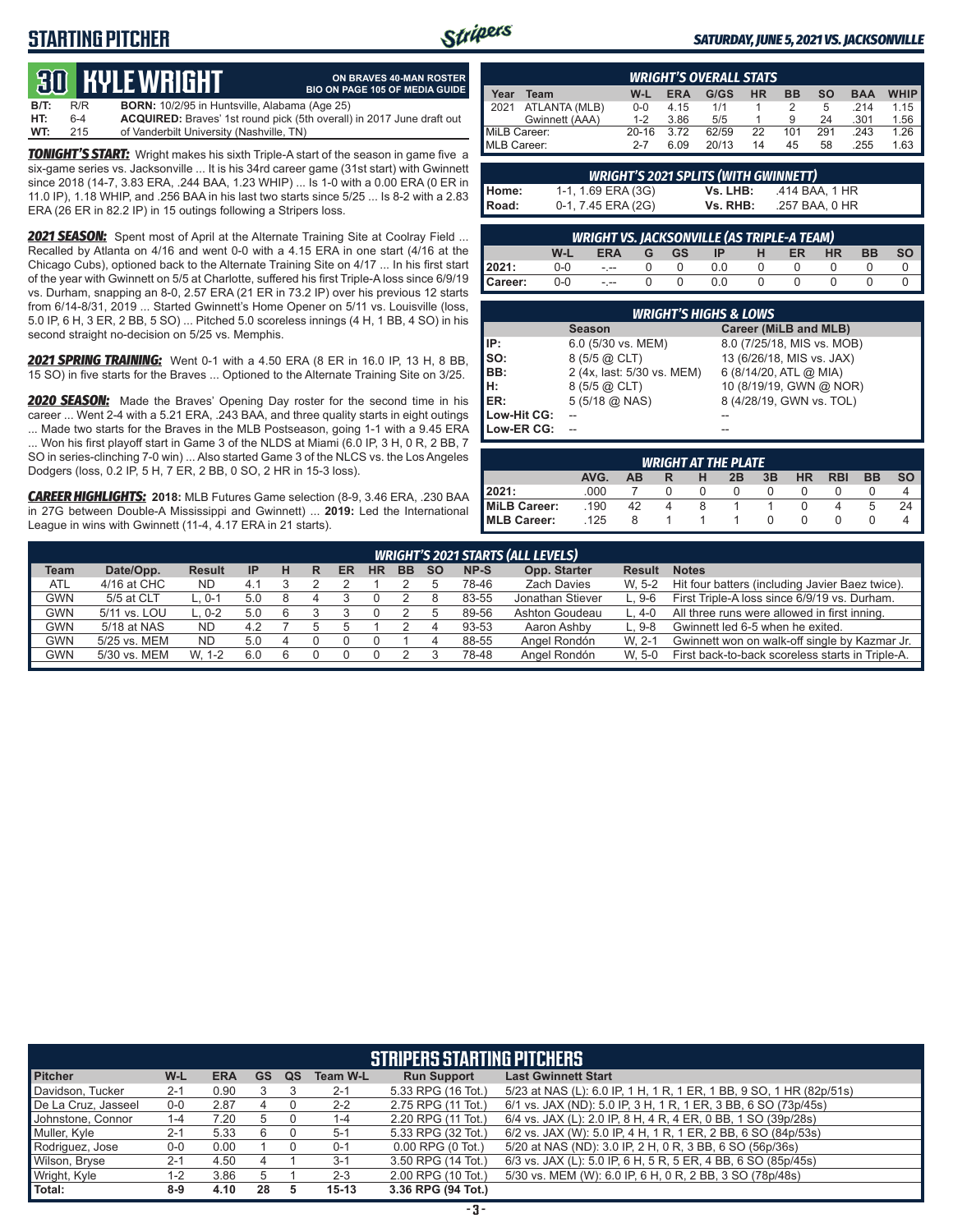# **STARTING PITCHER**



**ON BRAVES 40-MAN ROSTER**

#### *SATURDAY, JUNE 5, 2021 VS. JACKSONVILLE*

# **30****KYLE WRIGHT**

|      |     | <b>QUE IIYLL WHILLHI</b>                             | <b>BIO ON PAGE 105 OF MEDIA GUIDE</b>                                 |
|------|-----|------------------------------------------------------|-----------------------------------------------------------------------|
| B/T: | R/R | <b>BORN:</b> 10/2/95 in Huntsville, Alabama (Age 25) |                                                                       |
| HT:  | 6-4 |                                                      | ACQUIRED: Braves' 1st round pick (5th overall) in 2017 June draft out |
| WT:  | 215 | of Vanderbilt University (Nashville, TN)             |                                                                       |

*TONIGHT'S START:* Wright makes his sixth Triple-A start of the season in game five a six-game series vs. Jacksonville ... It is his 34rd career game (31st start) with Gwinnett since 2018 (14-7, 3.83 ERA, .244 BAA, 1.23 WHIP) ... Is 1-0 with a 0.00 ERA (0 ER in 11.0 IP), 1.18 WHIP, and .256 BAA in his last two starts since 5/25 ... Is 8-2 with a 2.83 ERA (26 ER in 82.2 IP) in 15 outings following a Stripers loss.

*2021 SEASON:* Spent most of April at the Alternate Training Site at Coolray Field ... Recalled by Atlanta on 4/16 and went 0-0 with a 4.15 ERA in one start (4/16 at the Chicago Cubs), optioned back to the Alternate Training Site on 4/17 ... In his first start of the year with Gwinnett on 5/5 at Charlotte, suffered his first Triple-A loss since 6/9/19 vs. Durham, snapping an 8-0, 2.57 ERA (21 ER in 73.2 IP) over his previous 12 starts from 6/14-8/31, 2019 ... Started Gwinnett's Home Opener on 5/11 vs. Louisville (loss, 5.0 IP, 6 H, 3 ER, 2 BB, 5 SO) ... Pitched 5.0 scoreless innings (4 H, 1 BB, 4 SO) in his second straight no-decision on 5/25 vs. Memphis.

*2021 SPRING TRAINING:* Went 0-1 with a 4.50 ERA (8 ER in 16.0 IP, 13 H, 8 BB, 15 SO) in five starts for the Braves ... Optioned to the Alternate Training Site on 3/25.

*2020 SEASON:* Made the Braves' Opening Day roster for the second time in his career ... Went 2-4 with a 5.21 ERA, .243 BAA, and three quality starts in eight outings ... Made two starts for the Braves in the MLB Postseason, going 1-1 with a 9.45 ERA ... Won his first playoff start in Game 3 of the NLDS at Miami (6.0 IP, 3 H, 0 R, 2 BB, 7 SO in series-clinching 7-0 win) ... Also started Game 3 of the NLCS vs. the Los Angeles Dodgers (loss, 0.2 IP, 5 H, 7 ER, 2 BB, 0 SO, 2 HR in 15-3 loss).

*CAREER HIGHLIGHTS:* **2018:** MLB Futures Game selection (8-9, 3.46 ERA, .230 BAA in 27G between Double-A Mississippi and Gwinnett) ... **2019:** Led the International League in wins with Gwinnett (11-4, 4.17 ERA in 21 starts).

|              | <b>WRIGHT'S OVERALL STATS</b> |           |            |       |           |     |           |            |             |  |  |  |
|--------------|-------------------------------|-----------|------------|-------|-----------|-----|-----------|------------|-------------|--|--|--|
| Year         | Team                          | W-L       | <b>ERA</b> | G/GS  | <b>HR</b> | ВB  | <b>SO</b> | <b>BAA</b> | <b>WHIP</b> |  |  |  |
| 2021         | ATLANTA (MLB)                 | $0 - 0$   | 4.15       | 1/1   |           |     | 5         | 214        | 1.15        |  |  |  |
|              | Gwinnett (AAA)                | $1 - 2$   | 3.86       | 5/5   |           | 9   | 24        | .301       | 1.56        |  |  |  |
| MiLB Career: |                               | $20 - 16$ | 3.72       | 62/59 | 22        | 101 | 291       | .243       | 1.26        |  |  |  |
| MLB Career:  |                               | $2 - 7$   | 6.09       | 20/13 | 14        | 45  | 58        | 255        | 1.63        |  |  |  |

| <b>WRIGHT'S 2021 SPLITS (WITH GWINNETT)</b> |                    |          |                |  |  |  |  |  |  |  |  |  |
|---------------------------------------------|--------------------|----------|----------------|--|--|--|--|--|--|--|--|--|
| l Home:                                     | 1-1, 1.69 ERA (3G) | Vs. LHB: | .414 BAA. 1 HR |  |  |  |  |  |  |  |  |  |
| I Road:                                     | 0-1, 7.45 ERA (2G) | Vs. RHB: | .257 BAA, 0 HR |  |  |  |  |  |  |  |  |  |

|                                                                                                  | <u>WRIGHT VS. JACKSONVILLE (AS TRIPLE-A TEAM)</u> |         |  |  |     |  |  |  |  |  |  |  |  |  |
|--------------------------------------------------------------------------------------------------|---------------------------------------------------|---------|--|--|-----|--|--|--|--|--|--|--|--|--|
| W-L<br><b>HR</b><br><b>BB</b><br><b>SO</b><br><b>ERA</b><br><b>ER</b><br>GGS<br> P <br>$-$ H $-$ |                                                   |         |  |  |     |  |  |  |  |  |  |  |  |  |
| 2021:                                                                                            | 0-0                                               | $ -$    |  |  | 0.0 |  |  |  |  |  |  |  |  |  |
| Career:                                                                                          | $0-0$                                             | $- - -$ |  |  | 0.0 |  |  |  |  |  |  |  |  |  |

| <b>WRIGHT'S HIGHS &amp; LOWS</b> |                            |                            |  |  |  |  |  |  |  |  |  |
|----------------------------------|----------------------------|----------------------------|--|--|--|--|--|--|--|--|--|
|                                  | <b>Season</b>              | Career (MiLB and MLB)      |  |  |  |  |  |  |  |  |  |
| IP:                              | 6.0 (5/30 vs. MEM)         | 8.0 (7/25/18, MIS vs. MOB) |  |  |  |  |  |  |  |  |  |
| Iso:                             | 8 (5/5 @ CLT)              | 13 (6/26/18, MIS vs. JAX)  |  |  |  |  |  |  |  |  |  |
| BB:                              | 2 (4x, last: 5/30 vs. MEM) | 6 (8/14/20, ATL @ MIA)     |  |  |  |  |  |  |  |  |  |
| IH:                              | 8 (5/5 @ CLT)              | 10 (8/19/19, GWN @ NOR)    |  |  |  |  |  |  |  |  |  |
| <b>IER:</b>                      | $5(5/18)$ ( $0$ NAS)       | 8 (4/28/19, GWN vs. TOL)   |  |  |  |  |  |  |  |  |  |
| Low-Hit CG:                      |                            |                            |  |  |  |  |  |  |  |  |  |
| Low-ER CG:                       |                            |                            |  |  |  |  |  |  |  |  |  |

| <b>WRIGHT AT THE PLATE</b>                                                            |      |    |   |   |              |  |  |  |   |    |  |  |  |  |
|---------------------------------------------------------------------------------------|------|----|---|---|--------------|--|--|--|---|----|--|--|--|--|
| <b>SO</b><br>AVG.<br>HR<br><b>RBI</b><br><b>BB</b><br>3B<br>2B<br><b>AB</b><br>н<br>R |      |    |   |   |              |  |  |  |   |    |  |  |  |  |
| 12021:                                                                                | .000 |    |   |   | $\mathbf{O}$ |  |  |  |   |    |  |  |  |  |
| MiLB Career:                                                                          | .190 | 42 | 4 | 8 |              |  |  |  | G | 24 |  |  |  |  |
| <b>IMLB Career:</b>                                                                   | .125 | 8  |   |   |              |  |  |  |   |    |  |  |  |  |

| <b>WRIGHT'S 2021 STARTS (ALL LEVELS)</b> |              |               |           |   |  |    |           |           |           |       |                  |               |                                                  |
|------------------------------------------|--------------|---------------|-----------|---|--|----|-----------|-----------|-----------|-------|------------------|---------------|--------------------------------------------------|
| <b>Team</b>                              | Date/Opp.    | <b>Result</b> | <b>IP</b> | н |  | ER | <b>HR</b> | <b>BB</b> | <b>SO</b> | NP-S  | Opp. Starter     | <b>Result</b> | <b>Notes</b>                                     |
| ATL                                      | 4/16 at CHC  | <b>ND</b>     | 4.1       |   |  |    |           |           |           | 78-46 | Zach Davies      | W. 5-2        | Hit four batters (including Javier Baez twice).  |
| <b>GWN</b>                               | 5/5 at CLT   | L. 0-1        | 5.0       | 8 |  |    |           |           |           | 83-55 | Jonathan Stiever | $L.9-6$       | First Triple-A loss since 6/9/19 vs. Durham.     |
| GWN                                      | 5/11 vs. LOU | L. 0-2        | 5.0       |   |  |    |           |           |           | 89-56 | Ashton Goudeau   | L. 4-0        | All three runs were allowed in first inning.     |
| <b>GWN</b>                               | 5/18 at NAS  | ND            | 4.2       |   |  |    |           |           |           | 93-53 | Aaron Ashby      | $L.9-8$       | Gwinnett led 6-5 when he exited.                 |
| <b>GWN</b>                               | 5/25 vs. MEM | <b>ND</b>     | 5.0       | 4 |  |    |           |           |           | 88-55 | Angel Rondón     | W. 2-1        | Gwinnett won on walk-off single by Kazmar Jr.    |
| GWN                                      | 5/30 vs. MEM | W. 1-2        | 6.0       |   |  |    |           |           |           | 78-48 | Angel Rondón     | W. 5-0        | First back-to-back scoreless starts in Triple-A. |

| <b>STRIPERS STARTING PITCHERS</b>                                                                                                         |                                                                                                               |            |           |    |                 |                       |                                                                     |  |  |  |  |  |  |
|-------------------------------------------------------------------------------------------------------------------------------------------|---------------------------------------------------------------------------------------------------------------|------------|-----------|----|-----------------|-----------------------|---------------------------------------------------------------------|--|--|--|--|--|--|
| <b>Pitcher</b>                                                                                                                            | W-L                                                                                                           | <b>ERA</b> | <b>GS</b> | QS | <b>Team W-L</b> | <b>Run Support</b>    | <b>Last Gwinnett Start</b>                                          |  |  |  |  |  |  |
| Davidson, Tucker                                                                                                                          | $2 - 1$                                                                                                       | 0.90       |           |    | $2 - 1$         | 5.33 RPG (16 Tot.)    | 5/23 at NAS (L): 6.0 IP, 1 H, 1 R, 1 ER, 1 BB, 9 SO, 1 HR (82p/51s) |  |  |  |  |  |  |
| 6/1 vs. JAX (ND): 5.0 IP, 3 H, 1 R, 1 ER, 3 BB, 6 SO (73p/45s)<br>De La Cruz, Jasseel<br>2.87<br>2.75 RPG (11 Tot.)<br>$2 - 2$<br>$0 - 0$ |                                                                                                               |            |           |    |                 |                       |                                                                     |  |  |  |  |  |  |
| Johnstone, Connor                                                                                                                         | 6/4 vs. JAX (L): 2.0 IP, 8 H, 4 R, 4 ER, 0 BB, 1 SO (39p/28s)<br>2.20 RPG (11 Tot.)<br>7.20<br>$1 - 4$<br>1-4 |            |           |    |                 |                       |                                                                     |  |  |  |  |  |  |
| Muller, Kyle                                                                                                                              | $2 - 1$                                                                                                       | 5.33       | 6         |    | $5-1$           | 5.33 RPG (32 Tot.)    | 6/2 vs. JAX (W): 5.0 IP, 4 H, 1 R, 1 ER, 2 BB, 6 SO (84p/53s)       |  |  |  |  |  |  |
| Rodriguez, Jose                                                                                                                           | $0-0$                                                                                                         | 0.00       |           |    | $0 - 1$         | $0.00$ RPG $(0$ Tot.) | 5/20 at NAS (ND): 3.0 IP, 2 H, 0 R, 3 BB, 6 SO (56p/36s)            |  |  |  |  |  |  |
| Wilson, Bryse                                                                                                                             | $2 - 1$                                                                                                       | 4.50       |           |    | $3 - 1$         | 3.50 RPG (14 Tot.)    | 6/3 vs. JAX (L): 5.0 IP, 6 H, 5 R, 5 ER, 4 BB, 6 SO (85p/45s)       |  |  |  |  |  |  |
| Wright, Kyle                                                                                                                              | $1 - 2$                                                                                                       | 3.86       |           |    | $2 - 3$         | 2.00 RPG (10 Tot.)    | 5/30 vs. MEM (W): 6.0 IP, 6 H, 0 R, 2 BB, 3 SO (78p/48s)            |  |  |  |  |  |  |
| Total:                                                                                                                                    | $8-9$                                                                                                         | 4.10       | 28        |    | $15 - 13$       | 3.36 RPG (94 Tot.)    |                                                                     |  |  |  |  |  |  |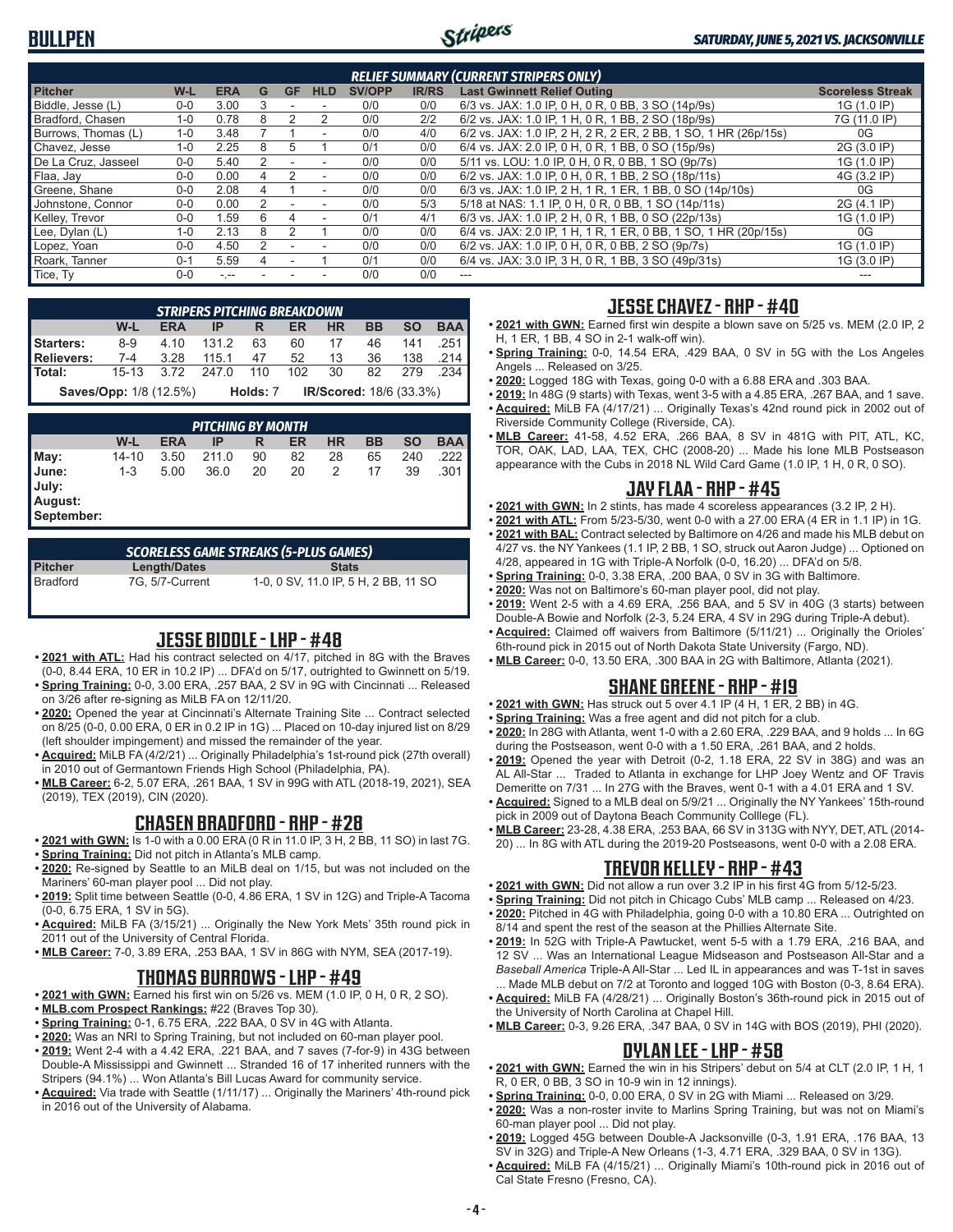

| <b>RELIEF SUMMARY (CURRENT STRIPERS ONLY)</b> |         |            |   |               |                          |               |              |                                                                 |                         |  |  |
|-----------------------------------------------|---------|------------|---|---------------|--------------------------|---------------|--------------|-----------------------------------------------------------------|-------------------------|--|--|
| <b>Pitcher</b>                                | W-L     | <b>ERA</b> | G | <b>GF</b>     | <b>HLD</b>               | <b>SV/OPP</b> | <b>IR/RS</b> | <b>Last Gwinnett Relief Outing</b>                              | <b>Scoreless Streak</b> |  |  |
| Biddle, Jesse (L)                             | $0 - 0$ | 3.00       |   |               |                          | 0/0           | 0/0          | 6/3 vs. JAX: 1.0 IP, 0 H, 0 R, 0 BB, 3 SO (14p/9s)              | 1G (1.0 IP)             |  |  |
| Bradford, Chasen                              | $1 - 0$ | 0.78       | 8 |               |                          | 0/0           | 2/2          | 6/2 vs. JAX: 1.0 IP, 1 H, 0 R, 1 BB, 2 SO (18p/9s)              | 7G (11.0 IP)            |  |  |
| Burrows, Thomas (L)                           | $1 - 0$ | 3.48       |   |               |                          | 0/0           | 4/0          | 6/2 vs. JAX: 1.0 IP, 2 H, 2 R, 2 ER, 2 BB, 1 SO, 1 HR (26p/15s) | 0G                      |  |  |
| Chavez, Jesse                                 | $1 - 0$ | 2.25       | 8 |               |                          | 0/1           | 0/0          | 6/4 vs. JAX: 2.0 IP, 0 H, 0 R, 1 BB, 0 SO (15p/9s)              | 2G (3.0 IP)             |  |  |
| De La Cruz, Jasseel                           | $0 - 0$ | 5.40       |   |               |                          | 0/0           | 0/0          | 5/11 vs. LOU: 1.0 IP, 0 H, 0 R, 0 BB, 1 SO (9p/7s)              | 1G (1.0 IP)             |  |  |
| Flaa, Jay                                     | $0 - 0$ | 0.00       |   | $\mathcal{P}$ | $\overline{\phantom{a}}$ | 0/0           | 0/0          | 6/2 vs. JAX: 1.0 IP, 0 H, 0 R, 1 BB, 2 SO (18p/11s)             | 4G (3.2 IP)             |  |  |
| Greene, Shane                                 | $0 - 0$ | 2.08       |   |               | ٠                        | 0/0           | 0/0          | 6/3 vs. JAX: 1.0 IP, 2 H, 1 R, 1 ER, 1 BB, 0 SO (14p/10s)       | 0G                      |  |  |
| Johnstone, Connor                             | $0 - 0$ | 0.00       | 2 |               |                          | 0/0           | 5/3          | 5/18 at NAS: 1.1 IP, 0 H, 0 R, 0 BB, 1 SO (14p/11s)             | 2G (4.1 IP)             |  |  |
| Kelley, Trevor                                | $0 - 0$ | 1.59       | հ | 4             |                          | 0/1           | 4/1          | 6/3 vs. JAX: 1.0 IP, 2 H, 0 R, 1 BB, 0 SO (22p/13s)             | 1G (1.0 IP)             |  |  |
| Lee, $D$ ylan $(L)$                           | $1 - 0$ | 2.13       | 8 |               |                          | 0/0           | 0/0          | 6/4 vs. JAX: 2.0 IP, 1 H, 1 R, 1 ER, 0 BB, 1 SO, 1 HR (20p/15s) | 0G                      |  |  |
| Lopez, Yoan                                   | $0 - 0$ | 4.50       | 2 |               |                          | 0/0           | 0/0          | 6/2 vs. JAX: 1.0 IP, 0 H, 0 R, 0 BB, 2 SO (9p/7s)               | 1G (1.0 IP)             |  |  |
| Roark. Tanner                                 | $0 - 1$ | 5.59       |   |               |                          | 0/1           | 0/0          | 6/4 vs. JAX: 3.0 IP, 3 H, 0 R, 1 BB, 3 SO (49p/31s)             | 1G (3.0 IP)             |  |  |
| Tice, Ty                                      | $0 - 0$ | $-1 - 1$   |   |               |                          | 0/0           | 0/0          | ---                                                             |                         |  |  |

|                                                                                         | <b>STRIPERS PITCHING BREAKDOWN</b> |       |       |     |     |    |    |     |                       |  |  |  |  |
|-----------------------------------------------------------------------------------------|------------------------------------|-------|-------|-----|-----|----|----|-----|-----------------------|--|--|--|--|
| <b>BAA</b><br><b>SO</b><br>W-L<br><b>HR</b><br><b>BB</b><br><b>ERA</b><br>ER<br>IP<br>R |                                    |       |       |     |     |    |    |     |                       |  |  |  |  |
| <b>Starters:</b>                                                                        | $8-9$                              | 4 1 0 | 1312  | 63  | 60  | 17 | 46 | 141 | .251                  |  |  |  |  |
| <b>Relievers:</b>                                                                       | $7 - 4$                            | 3.28  | 115 1 | 47  | 52  | 13 | 36 | 138 | $.214$ $\blacksquare$ |  |  |  |  |
| Total:                                                                                  | $15 - 13$                          | 3.72  | 247 O | 110 | 102 | 30 | 82 | 279 | .234                  |  |  |  |  |
| IR/Scored: 18/6 (33.3%)<br><b>Saves/Opp: 1/8 (12.5%)</b><br>Holds: 7                    |                                    |       |       |     |     |    |    |     |                       |  |  |  |  |

|                                                 | <b>PITCHING BY MONTH</b> |            |       |    |    |           |    |           |            |  |  |  |  |
|-------------------------------------------------|--------------------------|------------|-------|----|----|-----------|----|-----------|------------|--|--|--|--|
|                                                 | W-L                      | <b>ERA</b> | IP    | R  | ER | <b>HR</b> | BB | <b>SO</b> | <b>BAA</b> |  |  |  |  |
|                                                 | 14-10                    | 3.50       | 211.0 | 90 | 82 | 28        | 65 | 240       | .222       |  |  |  |  |
| May:<br>June:<br>July:<br>August:<br>September: | $1 - 3$                  | 5.00       | 36.0  | 20 | 20 | 2         | 17 | 39        | .301       |  |  |  |  |

| <b>SCORELESS GAME STREAKS (5-PLUS GAMES)</b> |                 |                                      |  |  |  |  |  |  |  |  |  |
|----------------------------------------------|-----------------|--------------------------------------|--|--|--|--|--|--|--|--|--|
| <b>Pitcher</b>                               | Length/Dates    | <b>Stats</b>                         |  |  |  |  |  |  |  |  |  |
| l Bradford                                   | 7G. 5/7-Current | 1-0, 0 SV, 11.0 IP, 5 H, 2 BB, 11 SO |  |  |  |  |  |  |  |  |  |

### **JESSE BIDDLE - LHP - #48**

- **• 2021 with ATL:** Had his contract selected on 4/17, pitched in 8G with the Braves (0-0, 8.44 ERA, 10 ER in 10.2 IP) ... DFA'd on 5/17, outrighted to Gwinnett on 5/19.
- **• Spring Training:** 0-0, 3.00 ERA, .257 BAA, 2 SV in 9G with Cincinnati ... Released on 3/26 after re-signing as MiLB FA on 12/11/20.
- **• 2020:** Opened the year at Cincinnati's Alternate Training Site ... Contract selected on 8/25 (0-0, 0.00 ERA, 0 ER in 0.2 IP in 1G) ... Placed on 10-day injured list on 8/29 (left shoulder impingement) and missed the remainder of the year.
- **• Acquired:** MiLB FA (4/2/21) ... Originally Philadelphia's 1st-round pick (27th overall) in 2010 out of Germantown Friends High School (Philadelphia, PA).
- **• MLB Career:** 6-2, 5.07 ERA, .261 BAA, 1 SV in 99G with ATL (2018-19, 2021), SEA (2019), TEX (2019), CIN (2020).

### **CHASEN BRADFORD - RHP - #28**

- **• 2021 with GWN:** Is 1-0 with a 0.00 ERA (0 R in 11.0 IP, 3 H, 2 BB, 11 SO) in last 7G.
- **• Spring Training:** Did not pitch in Atlanta's MLB camp.
- **• 2020:** Re-signed by Seattle to an MiLB deal on 1/15, but was not included on the Mariners' 60-man player pool ... Did not play.
- **• 2019:** Split time between Seattle (0-0, 4.86 ERA, 1 SV in 12G) and Triple-A Tacoma (0-0, 6.75 ERA, 1 SV in 5G).
- **• Acquired:** MiLB FA (3/15/21) ... Originally the New York Mets' 35th round pick in 2011 out of the University of Central Florida.
- **• MLB Career:** 7-0, 3.89 ERA, .253 BAA, 1 SV in 86G with NYM, SEA (2017-19).

# **THOMAS BURROWS - LHP - #49**

- **• 2021 with GWN:** Earned his first win on 5/26 vs. MEM (1.0 IP, 0 H, 0 R, 2 SO).
- **• MLB.com Prospect Rankings:** #22 (Braves Top 30).
- **• Spring Training:** 0-1, 6.75 ERA, .222 BAA, 0 SV in 4G with Atlanta.
- **• 2020:** Was an NRI to Spring Training, but not included on 60-man player pool.
- **• 2019:** Went 2-4 with a 4.42 ERA, .221 BAA, and 7 saves (7-for-9) in 43G between Double-A Mississippi and Gwinnett ... Stranded 16 of 17 inherited runners with the Stripers (94.1%) ... Won Atlanta's Bill Lucas Award for community service.
- **• Acquired:** Via trade with Seattle (1/11/17) ... Originally the Mariners' 4th-round pick in 2016 out of the University of Alabama.

### **JESSE CHAVEZ - RHP - #40**

- **• 2021 with GWN:** Earned first win despite a blown save on 5/25 vs. MEM (2.0 IP, 2 H, 1 ER, 1 BB, 4 SO in 2-1 walk-off win).
- **• Spring Training:** 0-0, 14.54 ERA, .429 BAA, 0 SV in 5G with the Los Angeles Angels ... Released on 3/25.
- **• 2020:** Logged 18G with Texas, going 0-0 with a 6.88 ERA and .303 BAA.
- **• 2019:** In 48G (9 starts) with Texas, went 3-5 with a 4.85 ERA, .267 BAA, and 1 save. **• Acquired:** MiLB FA (4/17/21) ... Originally Texas's 42nd round pick in 2002 out of Riverside Community College (Riverside, CA).
- **• MLB Career:** 41-58, 4.52 ERA, .266 BAA, 8 SV in 481G with PIT, ATL, KC, TOR, OAK, LAD, LAA, TEX, CHC (2008-20) ... Made his lone MLB Postseason appearance with the Cubs in 2018 NL Wild Card Game (1.0 IP, 1 H, 0 R, 0 SO).

### **JAY FLAA - RHP - #45**

- **• 2021 with GWN:** In 2 stints, has made 4 scoreless appearances (3.2 IP, 2 H).
- **• 2021 with ATL:** From 5/23-5/30, went 0-0 with a 27.00 ERA (4 ER in 1.1 IP) in 1G.
- **• 2021 with BAL:** Contract selected by Baltimore on 4/26 and made his MLB debut on 4/27 vs. the NY Yankees (1.1 IP, 2 BB, 1 SO, struck out Aaron Judge) ... Optioned on 4/28, appeared in 1G with Triple-A Norfolk (0-0, 16.20) ... DFA'd on 5/8.
- **• Spring Training:** 0-0, 3.38 ERA, .200 BAA, 0 SV in 3G with Baltimore.
- **• 2020:** Was not on Baltimore's 60-man player pool, did not play.
- **• 2019:** Went 2-5 with a 4.69 ERA, .256 BAA, and 5 SV in 40G (3 starts) between Double-A Bowie and Norfolk (2-3, 5.24 ERA, 4 SV in 29G during Triple-A debut).
- **• Acquired:** Claimed off waivers from Baltimore (5/11/21) ... Originally the Orioles' 6th-round pick in 2015 out of North Dakota State University (Fargo, ND).
- **• MLB Career:** 0-0, 13.50 ERA, .300 BAA in 2G with Baltimore, Atlanta (2021).

# **SHANE GREENE - RHP - #19**

- **• 2021 with GWN:** Has struck out 5 over 4.1 IP (4 H, 1 ER, 2 BB) in 4G.
- **• Spring Training:** Was a free agent and did not pitch for a club.
- **• 2020:** In 28G with Atlanta, went 1-0 with a 2.60 ERA, .229 BAA, and 9 holds ... In 6G during the Postseason, went 0-0 with a 1.50 ERA, .261 BAA, and 2 holds.
- **• 2019:** Opened the year with Detroit (0-2, 1.18 ERA, 22 SV in 38G) and was an AL All-Star ... Traded to Atlanta in exchange for LHP Joey Wentz and OF Travis Demeritte on 7/31 ... In 27G with the Braves, went 0-1 with a 4.01 ERA and 1 SV.
- **• Acquired:** Signed to a MLB deal on 5/9/21 ... Originally the NY Yankees' 15th-round pick in 2009 out of Daytona Beach Community Colllege (FL).
- **• MLB Career:** 23-28, 4.38 ERA, .253 BAA, 66 SV in 313G with NYY, DET, ATL (2014- 20) ... In 8G with ATL during the 2019-20 Postseasons, went 0-0 with a 2.08 ERA.

#### **TREVOR KELLEY - RHP - #43**

- **• 2021 with GWN:** Did not allow a run over 3.2 IP in his first 4G from 5/12-5/23.
- **• Spring Training:** Did not pitch in Chicago Cubs' MLB camp ... Released on 4/23.
- **• 2020:** Pitched in 4G with Philadelphia, going 0-0 with a 10.80 ERA ... Outrighted on 8/14 and spent the rest of the season at the Phillies Alternate Site.
- **• 2019:** In 52G with Triple-A Pawtucket, went 5-5 with a 1.79 ERA, .216 BAA, and 12 SV ... Was an International League Midseason and Postseason All-Star and a *Baseball America* Triple-A All-Star ... Led IL in appearances and was T-1st in saves ... Made MLB debut on 7/2 at Toronto and logged 10G with Boston (0-3, 8.64 ERA).
- **• Acquired:** MiLB FA (4/28/21) ... Originally Boston's 36th-round pick in 2015 out of the University of North Carolina at Chapel Hill.
- **• MLB Career:** 0-3, 9.26 ERA, .347 BAA, 0 SV in 14G with BOS (2019), PHI (2020).

### **DYLAN LEE - LHP - #58**

- **• 2021 with GWN:** Earned the win in his Stripers' debut on 5/4 at CLT (2.0 IP, 1 H, 1 R, 0 ER, 0 BB, 3 SO in 10-9 win in 12 innings).
- **• Spring Training:** 0-0, 0.00 ERA, 0 SV in 2G with Miami ... Released on 3/29.
- **• 2020:** Was a non-roster invite to Marlins Spring Training, but was not on Miami's 60-man player pool ... Did not play.
- **• 2019:** Logged 45G between Double-A Jacksonville (0-3, 1.91 ERA, .176 BAA, 13 SV in 32G) and Triple-A New Orleans (1-3, 4.71 ERA, .329 BAA, 0 SV in 13G).
- **• Acquired:** MiLB FA (4/15/21) ... Originally Miami's 10th-round pick in 2016 out of Cal State Fresno (Fresno, CA).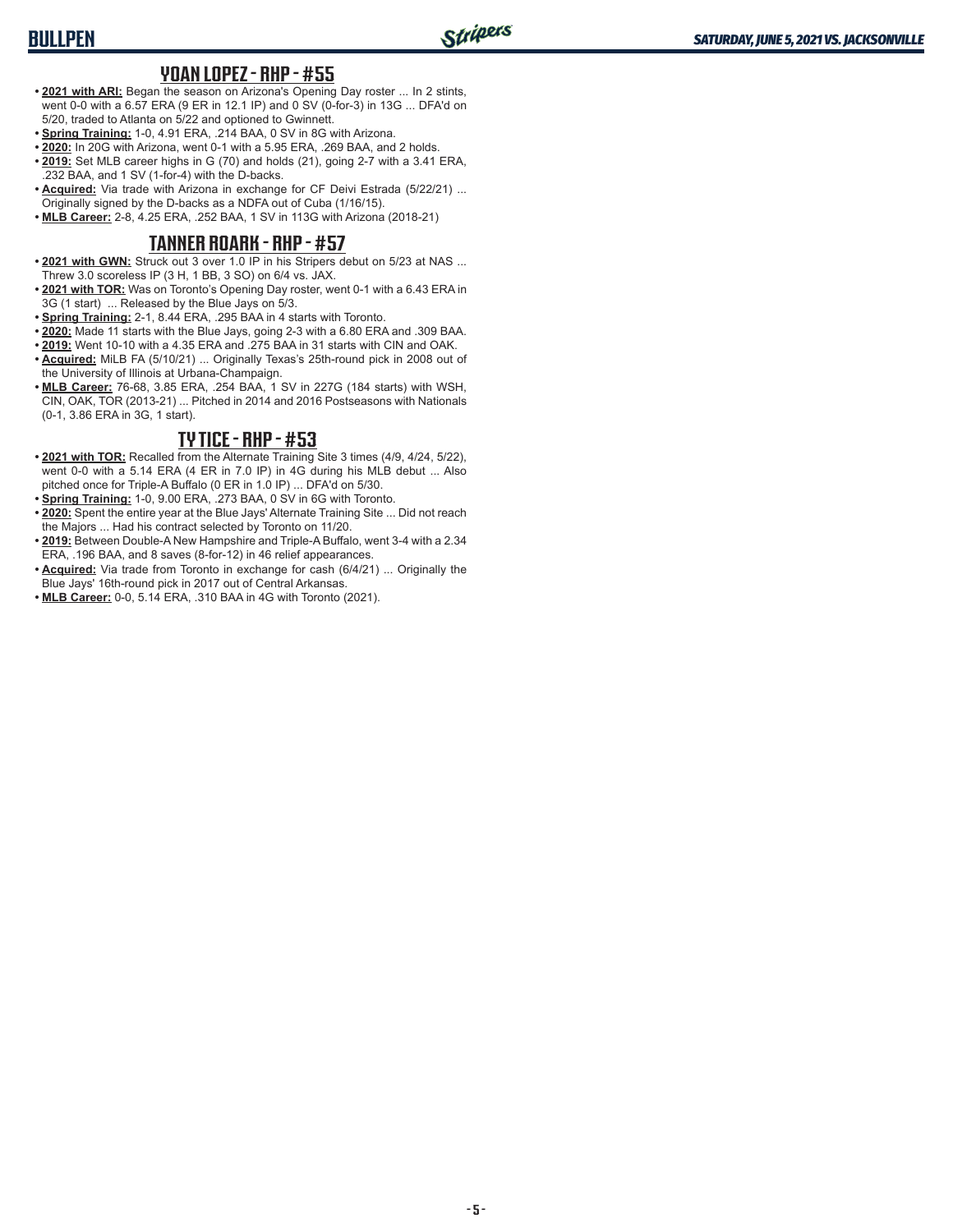# **BULLPEN**

#### **YOAN LOPEZ - RHP - #55**

- **• 2021 with ARI:** Began the season on Arizona's Opening Day roster ... In 2 stints, went 0-0 with a 6.57 ERA (9 ER in 12.1 IP) and 0 SV (0-for-3) in 13G ... DFA'd on 5/20, traded to Atlanta on 5/22 and optioned to Gwinnett.
- **• Spring Training:** 1-0, 4.91 ERA, .214 BAA, 0 SV in 8G with Arizona.
- **• 2020:** In 20G with Arizona, went 0-1 with a 5.95 ERA, .269 BAA, and 2 holds.
- **• 2019:** Set MLB career highs in G (70) and holds (21), going 2-7 with a 3.41 ERA, .232 BAA, and 1 SV (1-for-4) with the D-backs.
- **• Acquired:** Via trade with Arizona in exchange for CF Deivi Estrada (5/22/21) ... Originally signed by the D-backs as a NDFA out of Cuba (1/16/15).
- **• MLB Career:** 2-8, 4.25 ERA, .252 BAA, 1 SV in 113G with Arizona (2018-21)

### **TANNER ROARK - RHP - #57**

- **• 2021 with GWN:** Struck out 3 over 1.0 IP in his Stripers debut on 5/23 at NAS ... Threw 3.0 scoreless IP (3 H, 1 BB, 3 SO) on 6/4 vs. JAX.
- **• 2021 with TOR:** Was on Toronto's Opening Day roster, went 0-1 with a 6.43 ERA in 3G (1 start) ... Released by the Blue Jays on 5/3.
- **• Spring Training:** 2-1, 8.44 ERA, .295 BAA in 4 starts with Toronto.
- **• 2020:** Made 11 starts with the Blue Jays, going 2-3 with a 6.80 ERA and .309 BAA.
- **• 2019:** Went 10-10 with a 4.35 ERA and .275 BAA in 31 starts with CIN and OAK.
- **• Acquired:** MiLB FA (5/10/21) ... Originally Texas's 25th-round pick in 2008 out of the University of Illinois at Urbana-Champaign.
- **• MLB Career:** 76-68, 3.85 ERA, .254 BAA, 1 SV in 227G (184 starts) with WSH, CIN, OAK, TOR (2013-21) ... Pitched in 2014 and 2016 Postseasons with Nationals (0-1, 3.86 ERA in 3G, 1 start).

### **TY TICE - RHP - #53**

- **• 2021 with TOR:** Recalled from the Alternate Training Site 3 times (4/9, 4/24, 5/22), went 0-0 with a 5.14 ERA (4 ER in 7.0 IP) in 4G during his MLB debut ... Also pitched once for Triple-A Buffalo (0 ER in 1.0 IP) ... DFA'd on 5/30.
- **• Spring Training:** 1-0, 9.00 ERA, .273 BAA, 0 SV in 6G with Toronto.
- **• 2020:** Spent the entire year at the Blue Jays' Alternate Training Site ... Did not reach the Majors ... Had his contract selected by Toronto on 11/20.
- **• 2019:** Between Double-A New Hampshire and Triple-A Buffalo, went 3-4 with a 2.34 ERA, .196 BAA, and 8 saves (8-for-12) in 46 relief appearances.
- **• Acquired:** Via trade from Toronto in exchange for cash (6/4/21) ... Originally the Blue Jays' 16th-round pick in 2017 out of Central Arkansas.
- **• MLB Career:** 0-0, 5.14 ERA, .310 BAA in 4G with Toronto (2021).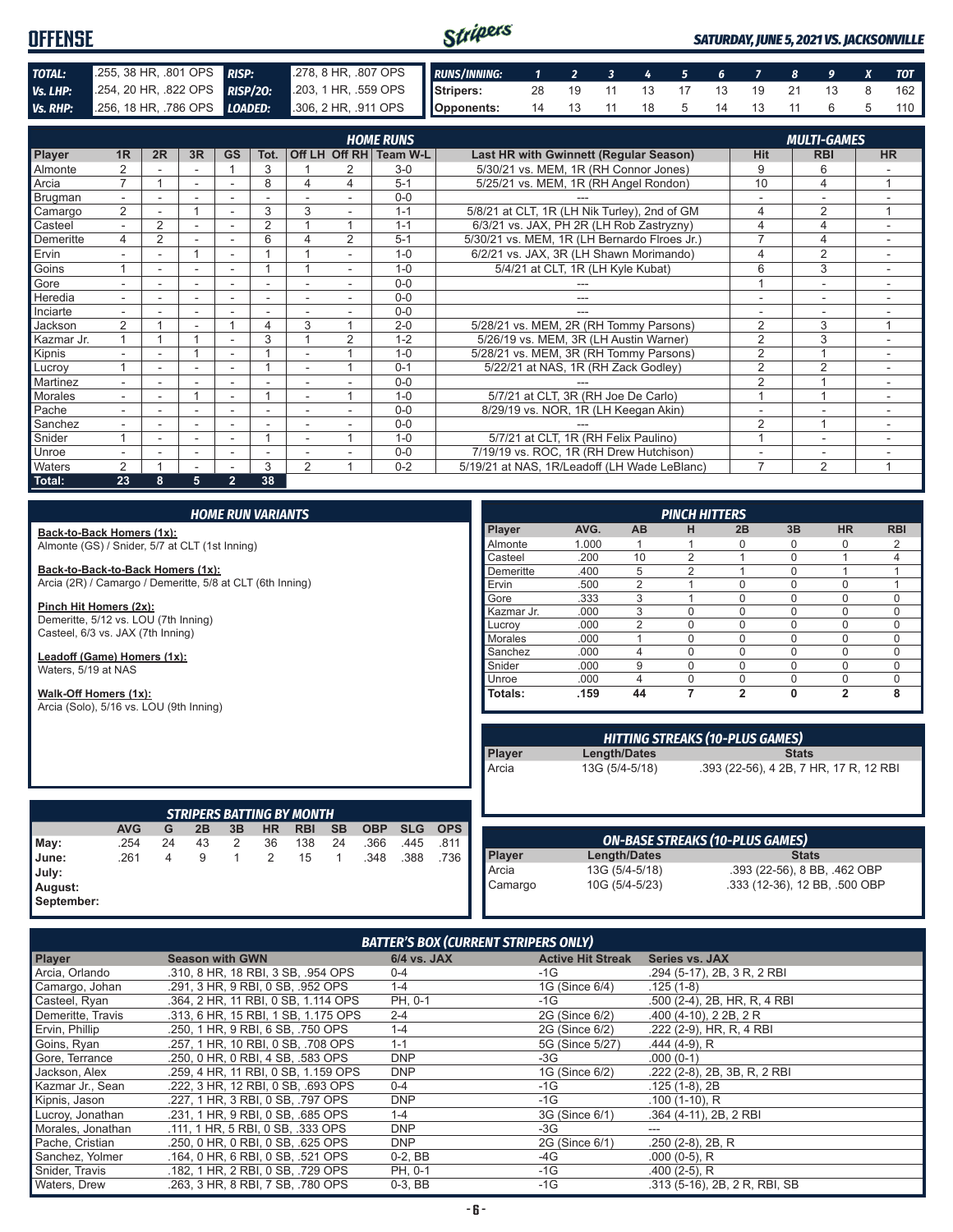#### Stripers **OFFENSE** *SATURDAY, JUNE 5, 2021 VS. JACKSONVILLE TOTAL:* .255, 38 HR, .801 OPS *RISP:* .278, 8 HR, .807 OPS *RUNS/INNING: 1 2 3 4 5 6 7 8 9 X TOT Vs. LHP:* .254, 20 HR, .822 OPS **RISP/20:** .203, 1 HR, .559 OPS **Stripers:** 28 19 11 13 17 13 19 21 13 8 162 *Vs. RHP:* .256, 18 HR, .786 OPS *LOADED:* .306, 2 HR, .911 OPS **Opponents:** 14 13 11 18 5 14 13 11 6 5 110

|                |                          |                |    |                          |                | <b>HOME RUNS</b><br><b>MULTI-GAMES</b> |                |          |                                               |                |                |                          |  |  |  |  |  |
|----------------|--------------------------|----------------|----|--------------------------|----------------|----------------------------------------|----------------|----------|-----------------------------------------------|----------------|----------------|--------------------------|--|--|--|--|--|
| <b>Player</b>  | 1R                       | 2R             | 3R | <b>GS</b>                | Tot.           |                                        | Off LH Off RH  | Team W-L | <b>Last HR with Gwinnett (Regular Season)</b> | <b>Hit</b>     | <b>RBI</b>     | <b>HR</b>                |  |  |  |  |  |
| <b>Almonte</b> |                          |                |    |                          | 3              |                                        | 2              | $3-0$    | 5/30/21 vs. MEM, 1R (RH Connor Jones)         | 9              | 6              |                          |  |  |  |  |  |
| Arcia          | 7                        |                | ۰  | ٠                        | 8              | 4                                      | 4              | $5 - 1$  | 5/25/21 vs. MEM, 1R (RH Angel Rondon)         | 10             | 4              | $\overline{ }$           |  |  |  |  |  |
| Brugman        |                          |                |    |                          |                |                                        |                | $0 - 0$  |                                               |                |                |                          |  |  |  |  |  |
| Camargo        | $\overline{2}$           |                |    |                          | 3              | 3                                      |                | $1 - 1$  | 5/8/21 at CLT, 1R (LH Nik Turley), 2nd of GM  | 4              | 2              | 1                        |  |  |  |  |  |
| Casteel        | $\overline{\phantom{0}}$ | $\overline{2}$ |    | ٠                        | $\overline{2}$ |                                        |                | $1 - 1$  | 6/3/21 vs. JAX, PH 2R (LH Rob Zastryzny)      | 4              | 4              | ÷                        |  |  |  |  |  |
| Demeritte      | 4                        | $\overline{2}$ | ۰  | $\sim$                   | 6              |                                        | $\overline{2}$ | $5 - 1$  | 5/30/21 vs. MEM, 1R (LH Bernardo Flroes Jr.)  | $\overline{ }$ | 4              | ۰                        |  |  |  |  |  |
| Ervin          |                          |                |    |                          |                |                                        |                | $1 - 0$  | 6/2/21 vs. JAX, 3R (LH Shawn Morimando)       | 4              | 2              |                          |  |  |  |  |  |
| Goins          |                          | ٠              | ۰  | $\overline{\phantom{a}}$ |                |                                        | $\sim$         | $1 - 0$  | 5/4/21 at CLT, 1R (LH Kyle Kubat)             | 6              | 3              | $\overline{\phantom{0}}$ |  |  |  |  |  |
| Gore           |                          |                | ۰  | $\overline{\phantom{a}}$ |                |                                        |                | $0 - 0$  |                                               |                |                |                          |  |  |  |  |  |
| Heredia        |                          |                |    |                          |                |                                        |                | $0 - 0$  |                                               |                |                |                          |  |  |  |  |  |
| Inciarte       |                          |                |    |                          |                |                                        |                | $0 - 0$  |                                               |                |                |                          |  |  |  |  |  |
| Jackson        | 2                        |                | ٠  |                          | 4              | 3                                      |                | $2 - 0$  | 5/28/21 vs. MEM, 2R (RH Tommy Parsons)        | $\overline{2}$ | 3              | $\overline{ }$           |  |  |  |  |  |
| Kazmar Jr.     |                          |                |    | ۰                        | 3              |                                        | $\overline{2}$ | $1 - 2$  | 5/26/19 vs. MEM, 3R (LH Austin Warner)        | $\overline{2}$ | 3              |                          |  |  |  |  |  |
| Kipnis         |                          |                |    |                          |                |                                        |                | $1 - 0$  | 5/28/21 vs. MEM, 3R (RH Tommy Parsons)        | $\overline{2}$ |                |                          |  |  |  |  |  |
| Lucroy         |                          |                |    | $\overline{\phantom{a}}$ |                |                                        |                | $0 - 1$  | 5/22/21 at NAS, 1R (RH Zack Godley)           | $\overline{2}$ | 2              | $\overline{\phantom{a}}$ |  |  |  |  |  |
| Martinez       | $\overline{\phantom{0}}$ |                |    | ٠                        |                | ٠                                      |                | $0 - 0$  |                                               | $\overline{2}$ |                | ۰                        |  |  |  |  |  |
| Morales        |                          |                |    | ۰                        |                |                                        |                | $1 - 0$  | 5/7/21 at CLT, 3R (RH Joe De Carlo)           |                |                |                          |  |  |  |  |  |
| Pache          |                          |                |    |                          |                |                                        |                | $0 - 0$  | 8/29/19 vs. NOR, 1R (LH Keegan Akin)          |                |                |                          |  |  |  |  |  |
| Sanchez        |                          |                |    |                          |                |                                        |                | $0-0$    |                                               | $\overline{2}$ |                |                          |  |  |  |  |  |
| Snider         |                          |                |    |                          |                |                                        |                | $1 - 0$  | 5/7/21 at CLT, 1R (RH Felix Paulino)          |                | ٠              |                          |  |  |  |  |  |
| <b>Unroe</b>   |                          |                | ۰  | ٠                        | ٠              |                                        |                | $0 - 0$  | 7/19/19 vs. ROC, 1R (RH Drew Hutchison)       |                | ۰              | ۰                        |  |  |  |  |  |
| <b>Waters</b>  | 2                        |                |    |                          | 3              | $\overline{2}$                         |                | $0 - 2$  | 5/19/21 at NAS, 1R/Leadoff (LH Wade LeBlanc)  | $\overline{7}$ | $\overline{2}$ | $\overline{ }$           |  |  |  |  |  |
| Total:         | 23                       | 8              | 5  | $\overline{2}$           | 38             |                                        |                |          |                                               |                |                |                          |  |  |  |  |  |

| <b>HOME RUN VARIANTS</b>                       |                                                                  |    |    |    |           |                                  |           |                | <b>PINCH HITTERS</b> |            |            |      |                                        |                |                                        |                              |                |            |
|------------------------------------------------|------------------------------------------------------------------|----|----|----|-----------|----------------------------------|-----------|----------------|----------------------|------------|------------|------|----------------------------------------|----------------|----------------------------------------|------------------------------|----------------|------------|
|                                                | Back-to-Back Homers (1x):                                        |    |    |    |           |                                  |           |                |                      |            | Player     | AVG. | <b>AB</b>                              | н              | 2B                                     | 3B                           | <b>HR</b>      | <b>RBI</b> |
| Almonte (GS) / Snider, 5/7 at CLT (1st Inning) |                                                                  |    |    |    | Almonte   | 1.000                            |           |                | $\Omega$             | $\Omega$   | $\Omega$   | 2    |                                        |                |                                        |                              |                |            |
|                                                |                                                                  |    |    |    |           |                                  |           |                |                      |            | Casteel    | .200 | 10                                     | $\overline{2}$ |                                        | $\Omega$                     |                | 4          |
| Back-to-Back-to-Back Homers (1x):              |                                                                  |    |    |    | Demeritte | .400                             | 5         | $\overline{2}$ |                      | $\Omega$   |            |      |                                        |                |                                        |                              |                |            |
|                                                | Arcia (2R) / Camargo / Demeritte, 5/8 at CLT (6th Inning)        |    |    |    |           |                                  |           |                |                      |            | Ervin      | .500 | $\overline{2}$                         |                | $\mathbf 0$                            | $\Omega$                     | $\Omega$       |            |
|                                                |                                                                  |    |    |    |           |                                  |           |                |                      |            | Gore       | .333 | 3                                      |                | $\Omega$                               | $\Omega$                     | $\Omega$       | 0          |
|                                                | Pinch Hit Homers (2x):                                           |    |    |    |           |                                  |           |                |                      |            | Kazmar Jr. | .000 | 3                                      | $\Omega$       | $\Omega$                               | $\Omega$                     | $\Omega$       | 0          |
|                                                | Demeritte, 5/12 vs. LOU (7th Inning)                             |    |    |    |           |                                  |           |                |                      |            | Lucrov     | .000 | $\overline{2}$                         | $\Omega$       | $\Omega$                               | $\Omega$                     | $\Omega$       | 0          |
|                                                | Casteel, 6/3 vs. JAX (7th Inning)                                |    |    |    |           |                                  |           |                |                      |            | Morales    | .000 |                                        | 0              | $\Omega$                               | $\Omega$                     | $\Omega$       | $\Omega$   |
|                                                | Leadoff (Game) Homers (1x):                                      |    |    |    |           |                                  |           |                |                      |            | Sanchez    | .000 | 4                                      | 0              | $\mathbf 0$                            | $\Omega$                     | $\Omega$       | 0          |
| Waters, 5/19 at NAS                            |                                                                  |    |    |    |           |                                  |           |                |                      |            | Snider     | .000 | 9                                      | $\Omega$       | $\Omega$                               | $\Omega$                     | $\Omega$       | 0          |
|                                                |                                                                  |    |    |    |           |                                  |           |                |                      |            | Unroe      | .000 | $\overline{4}$                         | 0              | $\mathbf 0$                            | $\mathbf 0$                  | $\Omega$       | 0          |
|                                                | Walk-Off Homers (1x):<br>Arcia (Solo), 5/16 vs. LOU (9th Inning) |    |    |    |           |                                  |           |                |                      |            | Totals:    | .159 | 44                                     | 7              | $\overline{2}$                         | $\mathbf{0}$                 | $\overline{2}$ | 8          |
|                                                |                                                                  |    |    |    |           |                                  |           |                |                      |            |            |      | <b>HITTING STREAKS (10-PLUS GAMES)</b> |                |                                        |                              |                |            |
|                                                |                                                                  |    |    |    |           |                                  |           |                |                      |            | Player     |      | Length/Dates                           |                |                                        | <b>Stats</b>                 |                |            |
|                                                |                                                                  |    |    |    |           |                                  |           |                |                      |            | Arcia      |      | 13G (5/4-5/18)                         |                | .393 (22-56), 4 2B, 7 HR, 17 R, 12 RBI |                              |                |            |
|                                                |                                                                  |    |    |    |           | <b>STRIPERS BATTING BY MONTH</b> |           |                |                      |            |            |      |                                        |                |                                        |                              |                |            |
|                                                | <b>AVG</b>                                                       | G  | 2B | 3B | <b>HR</b> | <b>RBI</b>                       | <b>SB</b> | <b>OBP</b>     | <b>SLG</b>           | <b>OPS</b> |            |      |                                        |                |                                        |                              |                |            |
| May:                                           | .254                                                             | 24 | 43 | 2  | 36        | 138                              | 24        | .366           | .445                 | .811       |            |      | <b>ON-BASE STREAKS (10-PLUS GAMES)</b> |                |                                        |                              |                |            |
| June:                                          | .261                                                             | 4  | 9  | 1  | 2         | 15                               |           | .348           | .388                 | .736       | Player     |      | Length/Dates                           |                |                                        | <b>Stats</b>                 |                |            |
| July:                                          |                                                                  |    |    |    |           |                                  |           |                |                      |            | Arcia      |      | 13G (5/4-5/18)                         |                |                                        | .393 (22-56), 8 BB, .462 OBP |                |            |

| <b>BATTER'S BOX (CURRENT STRIPERS ONLY)</b> |
|---------------------------------------------|
|                                             |

**August: September:** Camargo 10G (5/4-5/23) .333 (12-36), 12 BB, .500 OBP

| Player            | <b>Season with GWN</b>              | <b>6/4 vs. JAX</b> | <b>Active Hit Streak</b> | <b>Series vs. JAX</b>        |
|-------------------|-------------------------------------|--------------------|--------------------------|------------------------------|
| Arcia, Orlando    | .310, 8 HR, 18 RBI, 3 SB, .954 OPS  | $0 - 4$            | $-1G$                    | .294 (5-17), 2B, 3 R, 2 RBI  |
| Camargo, Johan    | .291. 3 HR. 9 RBI. 0 SB. .952 OPS   | $1 - 4$            | 1G (Since 6/4)           | $.125(1-8)$                  |
| Casteel, Ryan     | .364. 2 HR. 11 RBI. 0 SB. 1.114 OPS | PH. 0-1            | -1G                      | .500 (2-4), 2B, HR, R, 4 RBI |
| Demeritte, Travis | .313, 6 HR, 15 RBI, 1 SB, 1.175 OPS | $2 - 4$            | 2G (Since 6/2)           | $.400(4-10)$ , 2 2B, 2 R     |
| Ervin, Phillip    | .250, 1 HR, 9 RBI, 6 SB, .750 OPS   | $1 - 4$            | 2G (Since 6/2)           | .222 (2-9), HR, R, 4 RBI     |
| Goins, Ryan       | .257. 1 HR. 10 RBI. 0 SB. .708 OPS  | $1 - 1$            | 5G (Since 5/27)          | .444 (4-9), R                |
| Gore, Terrance    | .250, 0 HR, 0 RBI, 4 SB, .583 OPS   | <b>DNP</b>         | -3G                      | $.000(0-1)$                  |
| Jackson, Alex     | .259, 4 HR, 11 RBI, 0 SB, 1.159 OPS | <b>DNP</b>         | 1G (Since 6/2)           | .222 (2-8), 2B, 3B, R, 2 RBI |
| Kazmar Jr., Sean  | .222. 3 HR. 12 RBI. 0 SB. .693 OPS  | $0 - 4$            | -1G                      | .125 (1-8). 2B               |
| Kipnis, Jason     | .227. 1 HR. 3 RBI. 0 SB. .797 OPS   | <b>DNP</b>         | -1G                      | $.100(1-10)$ , R             |
| Lucroy, Jonathan  | .231, 1 HR, 9 RBI, 0 SB, .685 OPS   | $1 - 4$            | 3G (Since 6/1)           | .364 (4-11), 2B, 2 RBI       |
| Morales, Jonathan | .111, 1 HR, 5 RBI, 0 SB, .333 OPS   | <b>DNP</b>         | -3G                      |                              |
| Pache, Cristian   | .250, 0 HR, 0 RBI, 0 SB, .625 OPS   | <b>DNP</b>         | 2G (Since 6/1)           | $.250(2-8), 2B, R$           |
| Sanchez, Yolmer   | .164, 0 HR, 6 RBI, 0 SB, .521 OPS   | $0-2, BB$          | -4G                      | $.000(0-5)$ , R              |
| Snider, Travis    | .182, 1 HR, 2 RBI, 0 SB, .729 OPS   | PH, 0-1            | -1G                      | $.400(2-5)$ , R              |
| Waters, Drew      | .263. 3 HR. 8 RBI. 7 SB. .780 OPS   | $0-3.$ BB          | $-1G$                    | .313 (5-16), 2B, 2R, RBI, SB |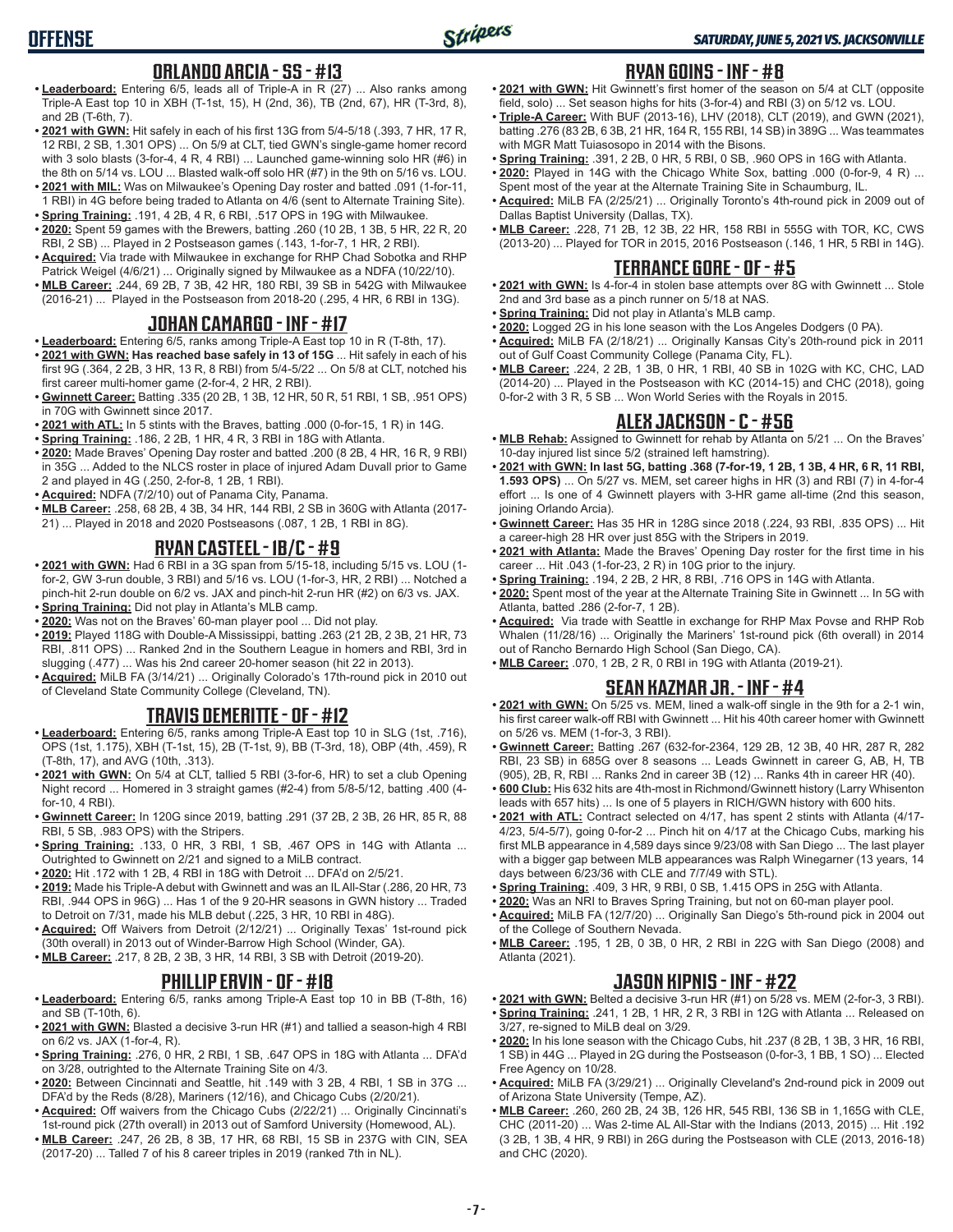# **OFFENSE**

### **ORLANDO ARCIA - SS - #13**

- **• Leaderboard:** Entering 6/5, leads all of Triple-A in R (27) ... Also ranks among Triple-A East top 10 in XBH (T-1st, 15), H (2nd, 36), TB (2nd, 67), HR (T-3rd, 8), and 2B (T-6th, 7).
- **• 2021 with GWN:** Hit safely in each of his first 13G from 5/4-5/18 (.393, 7 HR, 17 R, 12 RBI, 2 SB, 1.301 OPS) ... On 5/9 at CLT, tied GWN's single-game homer record with 3 solo blasts (3-for-4, 4 R, 4 RBI) ... Launched game-winning solo HR (#6) in the 8th on 5/14 vs. LOU ... Blasted walk-off solo HR (#7) in the 9th on 5/16 vs. LOU.
- **• 2021 with MIL:** Was on Milwaukee's Opening Day roster and batted .091 (1-for-11, 1 RBI) in 4G before being traded to Atlanta on 4/6 (sent to Alternate Training Site).
- **• Spring Training:** .191, 4 2B, 4 R, 6 RBI, .517 OPS in 19G with Milwaukee. **• 2020:** Spent 59 games with the Brewers, batting .260 (10 2B, 1 3B, 5 HR, 22 R, 20 RBI, 2 SB) ... Played in 2 Postseason games (.143, 1-for-7, 1 HR, 2 RBI).
- **• Acquired:** Via trade with Milwaukee in exchange for RHP Chad Sobotka and RHP Patrick Weigel (4/6/21) ... Originally signed by Milwaukee as a NDFA (10/22/10).
- **• MLB Career:** .244, 69 2B, 7 3B, 42 HR, 180 RBI, 39 SB in 542G with Milwaukee (2016-21) ... Played in the Postseason from 2018-20 (.295, 4 HR, 6 RBI in 13G).

### **JOHAN CAMARGO - INF - #17**

- **• Leaderboard:** Entering 6/5, ranks among Triple-A East top 10 in R (T-8th, 17).
- **• 2021 with GWN: Has reached base safely in 13 of 15G** ... Hit safely in each of his first 9G (.364, 2 2B, 3 HR, 13 R, 8 RBI) from 5/4-5/22 ... On 5/8 at CLT, notched his first career multi-homer game (2-for-4, 2 HR, 2 RBI).
- **• Gwinnett Career:** Batting .335 (20 2B, 1 3B, 12 HR, 50 R, 51 RBI, 1 SB, .951 OPS) in 70G with Gwinnett since 2017.
- **• 2021 with ATL:** In 5 stints with the Braves, batting .000 (0-for-15, 1 R) in 14G.
- **• Spring Training:** .186, 2 2B, 1 HR, 4 R, 3 RBI in 18G with Atlanta.
- **• 2020:** Made Braves' Opening Day roster and batted .200 (8 2B, 4 HR, 16 R, 9 RBI) in 35G ... Added to the NLCS roster in place of injured Adam Duvall prior to Game 2 and played in 4G (.250, 2-for-8, 1 2B, 1 RBI).
- **• Acquired:** NDFA (7/2/10) out of Panama City, Panama.
- **• MLB Career:** .258, 68 2B, 4 3B, 34 HR, 144 RBI, 2 SB in 360G with Atlanta (2017- 21) ... Played in 2018 and 2020 Postseasons (.087, 1 2B, 1 RBI in 8G).

### **RYAN CASTEEL - 1B/C - #9**

- **• 2021 with GWN:** Had 6 RBI in a 3G span from 5/15-18, including 5/15 vs. LOU (1 for-2, GW 3-run double, 3 RBI) and 5/16 vs. LOU (1-for-3, HR, 2 RBI) ... Notched a pinch-hit 2-run double on 6/2 vs. JAX and pinch-hit 2-run HR (#2) on 6/3 vs. JAX. **• Spring Training:** Did not play in Atlanta's MLB camp.
- **• 2020:** Was not on the Braves' 60-man player pool ... Did not play.
- **• 2019:** Played 118G with Double-A Mississippi, batting .263 (21 2B, 2 3B, 21 HR, 73 RBI, .811 OPS) ... Ranked 2nd in the Southern League in homers and RBI, 3rd in slugging (.477) ... Was his 2nd career 20-homer season (hit 22 in 2013).
- **• Acquired:** MiLB FA (3/14/21) ... Originally Colorado's 17th-round pick in 2010 out of Cleveland State Community College (Cleveland, TN).

#### **TRAVIS DEMERITTE - OF - #12**

- **• Leaderboard:** Entering 6/5, ranks among Triple-A East top 10 in SLG (1st, .716), OPS (1st, 1.175), XBH (T-1st, 15), 2B (T-1st, 9), BB (T-3rd, 18), OBP (4th, .459), R (T-8th, 17), and AVG (10th, .313).
- **• 2021 with GWN:** On 5/4 at CLT, tallied 5 RBI (3-for-6, HR) to set a club Opening Night record ... Homered in 3 straight games (#2-4) from 5/8-5/12, batting .400 (4 for-10, 4 RBI).
- **• Gwinnett Career:** In 120G since 2019, batting .291 (37 2B, 2 3B, 26 HR, 85 R, 88 RBI, 5 SB, .983 OPS) with the Stripers.
- **• Spring Training:** .133, 0 HR, 3 RBI, 1 SB, .467 OPS in 14G with Atlanta ... Outrighted to Gwinnett on 2/21 and signed to a MiLB contract.
- **• 2020:** Hit .172 with 1 2B, 4 RBI in 18G with Detroit ... DFA'd on 2/5/21.
- **• 2019:** Made his Triple-A debut with Gwinnett and was an IL All-Star (.286, 20 HR, 73 RBI, .944 OPS in 96G) ... Has 1 of the 9 20-HR seasons in GWN history ... Traded to Detroit on 7/31, made his MLB debut (.225, 3 HR, 10 RBI in 48G).
- **• Acquired:** Off Waivers from Detroit (2/12/21) ... Originally Texas' 1st-round pick (30th overall) in 2013 out of Winder-Barrow High School (Winder, GA).
- **• MLB Career:** .217, 8 2B, 2 3B, 3 HR, 14 RBI, 3 SB with Detroit (2019-20).

### **PHILLIP ERVIN - OF - #18**

- **• Leaderboard:** Entering 6/5, ranks among Triple-A East top 10 in BB (T-8th, 16) and SB (T-10th, 6).
- **• 2021 with GWN:** Blasted a decisive 3-run HR (#1) and tallied a season-high 4 RBI on 6/2 vs. JAX (1-for-4, R).
- **• Spring Training:** .276, 0 HR, 2 RBI, 1 SB, .647 OPS in 18G with Atlanta ... DFA'd on 3/28, outrighted to the Alternate Training Site on 4/3.
- **• 2020:** Between Cincinnati and Seattle, hit .149 with 3 2B, 4 RBI, 1 SB in 37G ... DFA'd by the Reds (8/28), Mariners (12/16), and Chicago Cubs (2/20/21).
- **• Acquired:** Off waivers from the Chicago Cubs (2/22/21) ... Originally Cincinnati's 1st-round pick (27th overall) in 2013 out of Samford University (Homewood, AL).
- **• MLB Career:** .247, 26 2B, 8 3B, 17 HR, 68 RBI, 15 SB in 237G with CIN, SEA (2017-20) ... Talled 7 of his 8 career triples in 2019 (ranked 7th in NL).

# **RYAN GOINS - INF - #8**

- **• 2021 with GWN:** Hit Gwinnett's first homer of the season on 5/4 at CLT (opposite field, solo) ... Set season highs for hits (3-for-4) and RBI (3) on 5/12 vs. LOU.
- **• Triple-A Career:** With BUF (2013-16), LHV (2018), CLT (2019), and GWN (2021), batting .276 (83 2B, 6 3B, 21 HR, 164 R, 155 RBI, 14 SB) in 389G ... Was teammates with MGR Matt Tuiasosopo in 2014 with the Bisons.
- **• Spring Training:** .391, 2 2B, 0 HR, 5 RBI, 0 SB, .960 OPS in 16G with Atlanta.
- **• 2020:** Played in 14G with the Chicago White Sox, batting .000 (0-for-9, 4 R) ... Spent most of the year at the Alternate Training Site in Schaumburg, IL.
- **• Acquired:** MiLB FA (2/25/21) ... Originally Toronto's 4th-round pick in 2009 out of Dallas Baptist University (Dallas, TX).
- **• MLB Career:** .228, 71 2B, 12 3B, 22 HR, 158 RBI in 555G with TOR, KC, CWS (2013-20) ... Played for TOR in 2015, 2016 Postseason (.146, 1 HR, 5 RBI in 14G).

### **TERRANCE GORE - OF - #5**

- **• 2021 with GWN:** Is 4-for-4 in stolen base attempts over 8G with Gwinnett ... Stole 2nd and 3rd base as a pinch runner on 5/18 at NAS.
- **• Spring Training:** Did not play in Atlanta's MLB camp.
- **• 2020:** Logged 2G in his lone season with the Los Angeles Dodgers (0 PA).
- **• Acquired:** MiLB FA (2/18/21) ... Originally Kansas City's 20th-round pick in 2011 out of Gulf Coast Community College (Panama City, FL).
- **• MLB Career:** .224, 2 2B, 1 3B, 0 HR, 1 RBI, 40 SB in 102G with KC, CHC, LAD (2014-20) ... Played in the Postseason with KC (2014-15) and CHC (2018), going 0-for-2 with 3 R, 5 SB ... Won World Series with the Royals in 2015.

### **ALEX JACKSON - C - #56**

- **• MLB Rehab:** Assigned to Gwinnett for rehab by Atlanta on 5/21 ... On the Braves' 10-day injured list since 5/2 (strained left hamstring).
- **• 2021 with GWN: In last 5G, batting .368 (7-for-19, 1 2B, 1 3B, 4 HR, 6 R, 11 RBI, 1.593 OPS)** ... On 5/27 vs. MEM, set career highs in HR (3) and RBI (7) in 4-for-4 effort ... Is one of 4 Gwinnett players with 3-HR game all-time (2nd this season, joining Orlando Arcia).
- **• Gwinnett Career:** Has 35 HR in 128G since 2018 (.224, 93 RBI, .835 OPS) ... Hit a career-high 28 HR over just 85G with the Stripers in 2019.
- **• 2021 with Atlanta:** Made the Braves' Opening Day roster for the first time in his career ... Hit .043 (1-for-23, 2 R) in 10G prior to the injury.
- **• Spring Training:** .194, 2 2B, 2 HR, 8 RBI, .716 OPS in 14G with Atlanta.
- **• 2020:** Spent most of the year at the Alternate Training Site in Gwinnett ... In 5G with Atlanta, batted .286 (2-for-7, 1 2B).
- **• Acquired:** Via trade with Seattle in exchange for RHP Max Povse and RHP Rob Whalen (11/28/16) ... Originally the Mariners' 1st-round pick (6th overall) in 2014 out of Rancho Bernardo High School (San Diego, CA).
- **• MLB Career:** .070, 1 2B, 2 R, 0 RBI in 19G with Atlanta (2019-21).

### **SEAN KAZMAR JR. - INF - #4**

- **• 2021 with GWN:** On 5/25 vs. MEM, lined a walk-off single in the 9th for a 2-1 win, his first career walk-off RBI with Gwinnett ... Hit his 40th career homer with Gwinnett on 5/26 vs. MEM (1-for-3, 3 RBI).
- **• Gwinnett Career:** Batting .267 (632-for-2364, 129 2B, 12 3B, 40 HR, 287 R, 282 RBI, 23 SB) in 685G over 8 seasons ... Leads Gwinnett in career G, AB, H, TB (905), 2B, R, RBI ... Ranks 2nd in career 3B (12) ... Ranks 4th in career HR (40).
- **• 600 Club:** His 632 hits are 4th-most in Richmond/Gwinnett history (Larry Whisenton leads with 657 hits) ... Is one of 5 players in RICH/GWN history with 600 hits.
- **• 2021 with ATL:** Contract selected on 4/17, has spent 2 stints with Atlanta (4/17- 4/23, 5/4-5/7), going 0-for-2 ... Pinch hit on 4/17 at the Chicago Cubs, marking his first MLB appearance in 4,589 days since 9/23/08 with San Diego ... The last player with a bigger gap between MLB appearances was Ralph Winegarner (13 years, 14 days between 6/23/36 with CLE and 7/7/49 with STL).
- **• Spring Training:** .409, 3 HR, 9 RBI, 0 SB, 1.415 OPS in 25G with Atlanta.
- **• 2020:** Was an NRI to Braves Spring Training, but not on 60-man player pool.
- **• Acquired:** MiLB FA (12/7/20) ... Originally San Diego's 5th-round pick in 2004 out of the College of Southern Nevada.
- **• MLB Career:** .195, 1 2B, 0 3B, 0 HR, 2 RBI in 22G with San Diego (2008) and Atlanta (2021).

# **JASON KIPNIS - INF - #22**

- **• 2021 with GWN:** Belted a decisive 3-run HR (#1) on 5/28 vs. MEM (2-for-3, 3 RBI). **• Spring Training:** .241, 1 2B, 1 HR, 2 R, 3 RBI in 12G with Atlanta ... Released on
- 3/27, re-signed to MiLB deal on 3/29. **• 2020:** In his lone season with the Chicago Cubs, hit .237 (8 2B, 1 3B, 3 HR, 16 RBI,
- 1 SB) in 44G ... Played in 2G during the Postseason (0-for-3, 1 BB, 1 SO) ... Elected Free Agency on 10/28.
- **• Acquired:** MiLB FA (3/29/21) ... Originally Cleveland's 2nd-round pick in 2009 out of Arizona State University (Tempe, AZ).
- **• MLB Career:** .260, 260 2B, 24 3B, 126 HR, 545 RBI, 136 SB in 1,165G with CLE, CHC (2011-20) ... Was 2-time AL All-Star with the Indians (2013, 2015) ... Hit .192 (3 2B, 1 3B, 4 HR, 9 RBI) in 26G during the Postseason with CLE (2013, 2016-18) and CHC (2020).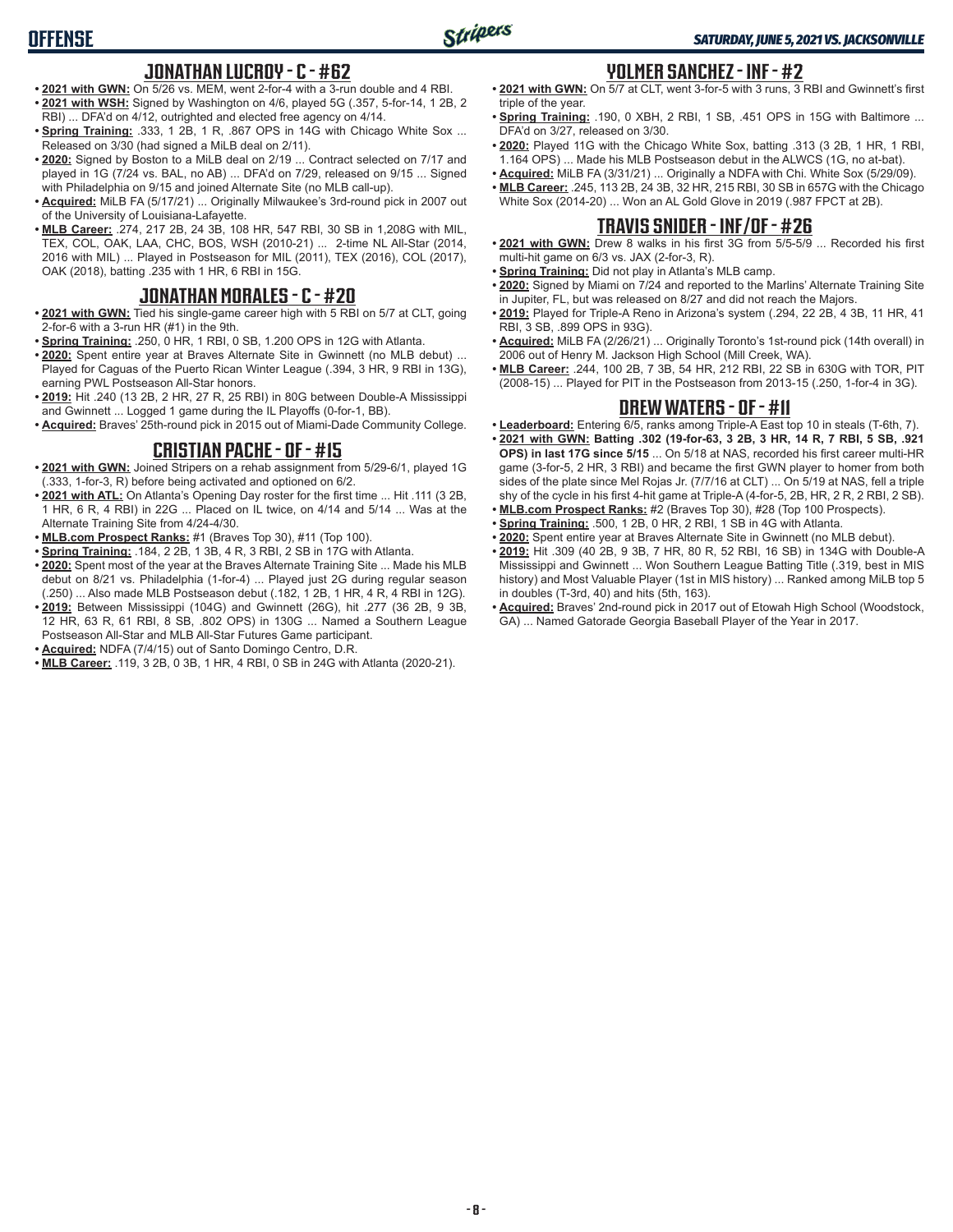# **OFFENSE**

### **JONATHAN LUCROY - C - #62**

- **• 2021 with GWN:** On 5/26 vs. MEM, went 2-for-4 with a 3-run double and 4 RBI. **• 2021 with WSH:** Signed by Washington on 4/6, played 5G (.357, 5-for-14, 1 2B, 2 RBI) ... DFA'd on 4/12, outrighted and elected free agency on 4/14.
- **• Spring Training:** .333, 1 2B, 1 R, .867 OPS in 14G with Chicago White Sox ... Released on 3/30 (had signed a MiLB deal on 2/11).
- **• 2020:** Signed by Boston to a MiLB deal on 2/19 ... Contract selected on 7/17 and played in 1G (7/24 vs. BAL, no AB) ... DFA'd on 7/29, released on 9/15 ... Signed with Philadelphia on 9/15 and joined Alternate Site (no MLB call-up).
- **• Acquired:** MiLB FA (5/17/21) ... Originally Milwaukee's 3rd-round pick in 2007 out of the University of Louisiana-Lafayette.
- **• MLB Career:** .274, 217 2B, 24 3B, 108 HR, 547 RBI, 30 SB in 1,208G with MIL, TEX, COL, OAK, LAA, CHC, BOS, WSH (2010-21) ... 2-time NL All-Star (2014, 2016 with MIL) ... Played in Postseason for MIL (2011), TEX (2016), COL (2017), OAK (2018), batting .235 with 1 HR, 6 RBI in 15G.

### **JONATHAN MORALES - C - #20**

- **• 2021 with GWN:** Tied his single-game career high with 5 RBI on 5/7 at CLT, going 2-for-6 with a 3-run HR (#1) in the 9th.
- **• Spring Training:** .250, 0 HR, 1 RBI, 0 SB, 1.200 OPS in 12G with Atlanta.
- **• 2020:** Spent entire year at Braves Alternate Site in Gwinnett (no MLB debut) ... Played for Caguas of the Puerto Rican Winter League (.394, 3 HR, 9 RBI in 13G), earning PWL Postseason All-Star honors.
- **• 2019:** Hit .240 (13 2B, 2 HR, 27 R, 25 RBI) in 80G between Double-A Mississippi and Gwinnett ... Logged 1 game during the IL Playoffs (0-for-1, BB).
- **• Acquired:** Braves' 25th-round pick in 2015 out of Miami-Dade Community College.

### **CRISTIAN PACHE - OF - #15**

- **• 2021 with GWN:** Joined Stripers on a rehab assignment from 5/29-6/1, played 1G (.333, 1-for-3, R) before being activated and optioned on 6/2.
- **• 2021 with ATL:** On Atlanta's Opening Day roster for the first time ... Hit .111 (3 2B, 1 HR, 6 R, 4 RBI) in 22G ... Placed on IL twice, on 4/14 and 5/14 ... Was at the Alternate Training Site from 4/24-4/30.
- **• MLB.com Prospect Ranks:** #1 (Braves Top 30), #11 (Top 100).
- **• Spring Training:** .184, 2 2B, 1 3B, 4 R, 3 RBI, 2 SB in 17G with Atlanta.
- **• 2020:** Spent most of the year at the Braves Alternate Training Site ... Made his MLB debut on 8/21 vs. Philadelphia (1-for-4) ... Played just 2G during regular season (.250) ... Also made MLB Postseason debut (.182, 1 2B, 1 HR, 4 R, 4 RBI in 12G).
- **• 2019:** Between Mississippi (104G) and Gwinnett (26G), hit .277 (36 2B, 9 3B, 12 HR, 63 R, 61 RBI, 8 SB, .802 OPS) in 130G ... Named a Southern League Postseason All-Star and MLB All-Star Futures Game participant.
- **• Acquired:** NDFA (7/4/15) out of Santo Domingo Centro, D.R.
- **• MLB Career:** .119, 3 2B, 0 3B, 1 HR, 4 RBI, 0 SB in 24G with Atlanta (2020-21).

### **YOLMER SANCHEZ - INF - #2**

- **• 2021 with GWN:** On 5/7 at CLT, went 3-for-5 with 3 runs, 3 RBI and Gwinnett's first triple of the year.
- **• Spring Training:** .190, 0 XBH, 2 RBI, 1 SB, .451 OPS in 15G with Baltimore ... DFA'd on 3/27, released on 3/30.
- **• 2020:** Played 11G with the Chicago White Sox, batting .313 (3 2B, 1 HR, 1 RBI, 1.164 OPS) ... Made his MLB Postseason debut in the ALWCS (1G, no at-bat).
- **• Acquired:** MiLB FA (3/31/21) ... Originally a NDFA with Chi. White Sox (5/29/09). **• MLB Career:** .245, 113 2B, 24 3B, 32 HR, 215 RBI, 30 SB in 657G with the Chicago
- White Sox (2014-20) ... Won an AL Gold Glove in 2019 (.987 FPCT at 2B).

### **TRAVIS SNIDER - INF/OF - #26**

- **• 2021 with GWN:** Drew 8 walks in his first 3G from 5/5-5/9 ... Recorded his first multi-hit game on 6/3 vs. JAX (2-for-3, R).
- **• Spring Training:** Did not play in Atlanta's MLB camp.
- **• 2020:** Signed by Miami on 7/24 and reported to the Marlins' Alternate Training Site in Jupiter, FL, but was released on 8/27 and did not reach the Majors.
- **• 2019:** Played for Triple-A Reno in Arizona's system (.294, 22 2B, 4 3B, 11 HR, 41 RBI, 3 SB, .899 OPS in 93G).
- **• Acquired:** MiLB FA (2/26/21) ... Originally Toronto's 1st-round pick (14th overall) in 2006 out of Henry M. Jackson High School (Mill Creek, WA).
- **• MLB Career:** .244, 100 2B, 7 3B, 54 HR, 212 RBI, 22 SB in 630G with TOR, PIT (2008-15) ... Played for PIT in the Postseason from 2013-15 (.250, 1-for-4 in 3G).

### **DREW WATERS - OF - #11**

- **• Leaderboard:** Entering 6/5, ranks among Triple-A East top 10 in steals (T-6th, 7).
- **• 2021 with GWN: Batting .302 (19-for-63, 3 2B, 3 HR, 14 R, 7 RBI, 5 SB, .921 OPS) in last 17G since 5/15** ... On 5/18 at NAS, recorded his first career multi-HR game (3-for-5, 2 HR, 3 RBI) and became the first GWN player to homer from both sides of the plate since Mel Rojas Jr. (7/7/16 at CLT) ... On 5/19 at NAS, fell a triple shy of the cycle in his first 4-hit game at Triple-A (4-for-5, 2B, HR, 2 R, 2 RBI, 2 SB).
- **• MLB.com Prospect Ranks:** #2 (Braves Top 30), #28 (Top 100 Prospects).
- **• Spring Training:** .500, 1 2B, 0 HR, 2 RBI, 1 SB in 4G with Atlanta.
- **• 2020:** Spent entire year at Braves Alternate Site in Gwinnett (no MLB debut).
- **• 2019:** Hit .309 (40 2B, 9 3B, 7 HR, 80 R, 52 RBI, 16 SB) in 134G with Double-A Mississippi and Gwinnett ... Won Southern League Batting Title (.319, best in MIS history) and Most Valuable Player (1st in MIS history) ... Ranked among MiLB top 5 in doubles (T-3rd, 40) and hits (5th, 163).
- **• Acquired:** Braves' 2nd-round pick in 2017 out of Etowah High School (Woodstock, GA) ... Named Gatorade Georgia Baseball Player of the Year in 2017.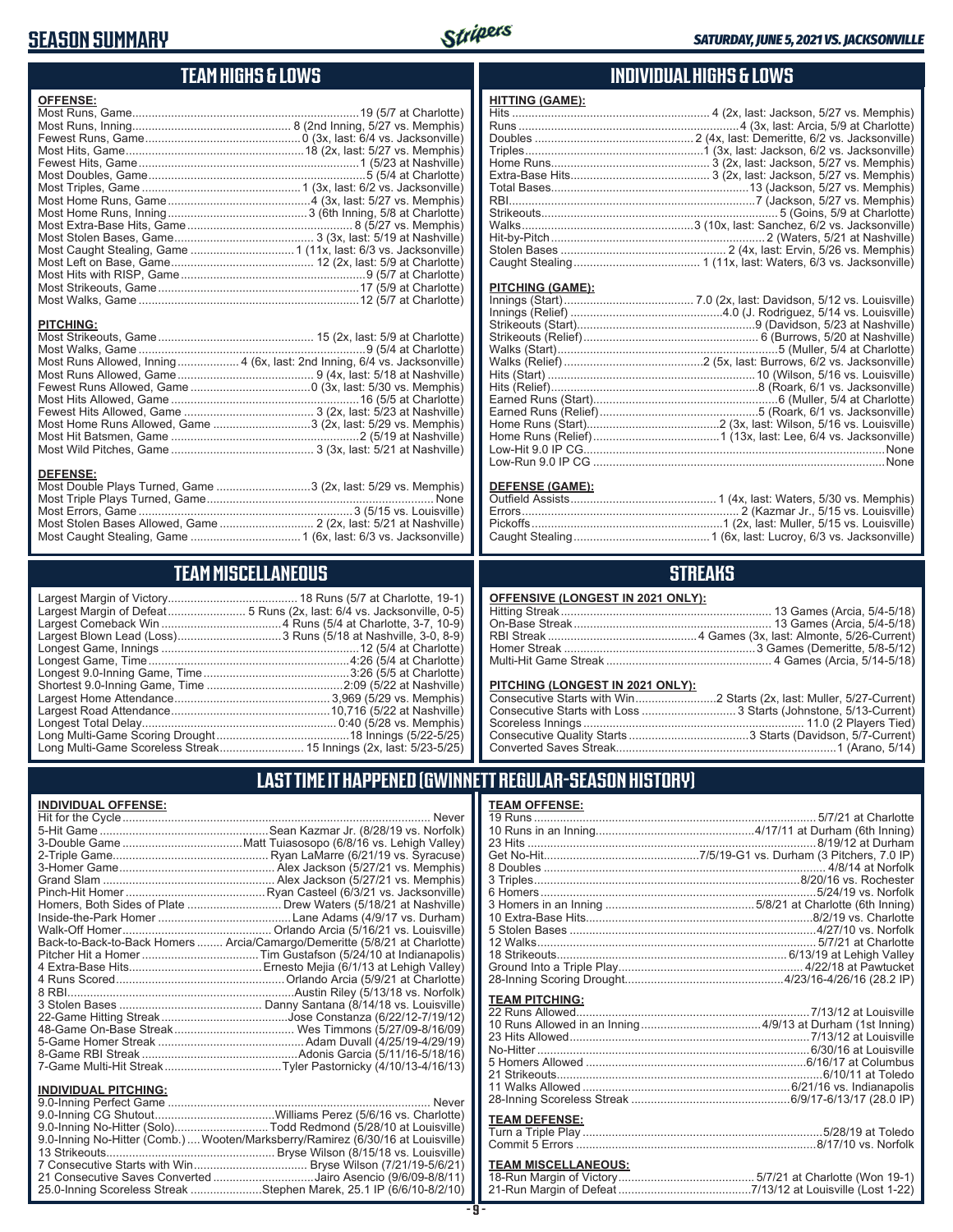# **SEASON SUMMARY**



**HITTING (GAME):**

### **TEAM HIGHS & LOWS**

| <b>OFFENSE:</b>                                                          |  |
|--------------------------------------------------------------------------|--|
|                                                                          |  |
|                                                                          |  |
|                                                                          |  |
|                                                                          |  |
|                                                                          |  |
|                                                                          |  |
|                                                                          |  |
|                                                                          |  |
|                                                                          |  |
|                                                                          |  |
|                                                                          |  |
|                                                                          |  |
|                                                                          |  |
|                                                                          |  |
|                                                                          |  |
|                                                                          |  |
| <b>PITCHING:</b>                                                         |  |
|                                                                          |  |
|                                                                          |  |
| Most Runs Allowed, Inning 4 (6x, last: 2nd Inning, 6/4 vs. Jacksonville) |  |
|                                                                          |  |
|                                                                          |  |
|                                                                          |  |
|                                                                          |  |
| Most Home Runs Allowed, Game 3 (2x, last: 5/29 vs. Memphis)              |  |

Most Hit Batsmen, Game ..........................................................2 (5/19 at Nashville) Most Wild Pitches, Game ............................................ 3 (3x, last: 5/21 at Nashville)

Most Double Plays Turned, Game .............................3 (2x, last: 5/29 vs. Memphis) Most Triple Plays Turned, Game ...................................................................... None Most Errors, Game ..................................................................3 (5/15 vs. Louisville) Most Stolen Bases Allowed, Game ............................. 2 (2x, last: 5/21 at Nashville) Most Caught Stealing, Game ..................................1 (6x, last: 6/3 vs. Jacksonville)

#### **INDIVIDUAL HIGHS & LOWS**

| <u>IIII IIIN UAMLI.</u> |  |
|-------------------------|--|
|                         |  |
|                         |  |
|                         |  |
|                         |  |
|                         |  |
|                         |  |
|                         |  |
|                         |  |
|                         |  |
|                         |  |
|                         |  |
|                         |  |
|                         |  |
|                         |  |
|                         |  |
| <b>PITCHING (GAME):</b> |  |
|                         |  |
|                         |  |
|                         |  |
|                         |  |
|                         |  |
|                         |  |
|                         |  |
|                         |  |
|                         |  |
|                         |  |
|                         |  |
|                         |  |

#### **DEFENSE (GAME):**

Low-Run 9.0 IP CG ..........................................................................................None

#### **STREAKS**

|  |  | OFFENSIVE (LONGEST IN 2021 ONLY): |
|--|--|-----------------------------------|
|--|--|-----------------------------------|

#### **PITCHING (LONGEST IN 2021 ONLY):**

### **LAST TIME IT HAPPENED (GWINNETT REGULAR-SEASON HISTORY)**

#### **TEAM OFFENSE:**

| <u>ILAM VI I LIVUL.</u> |  |
|-------------------------|--|
|                         |  |
|                         |  |
|                         |  |
|                         |  |
|                         |  |
|                         |  |
|                         |  |
|                         |  |
|                         |  |
|                         |  |
|                         |  |
|                         |  |
|                         |  |
|                         |  |
| <b>TEAM PITCHING:</b>   |  |
|                         |  |
|                         |  |
|                         |  |
|                         |  |
|                         |  |
|                         |  |
|                         |  |
|                         |  |
|                         |  |
|                         |  |
| <b>TEAM DEFENSE:</b>    |  |
|                         |  |
|                         |  |

### **TEAM MISCELLANEOUS:**

**TEAM MISCELLANEOUS** Largest Margin of Victory........................................ 18 Runs (5/7 at Charlotte, 19-1) Largest Margin of Defeat........................ 5 Runs (2x, last: 6/4 vs. Jacksonville, 0-5) Largest Comeback Win .....................................4 Runs (5/4 at Charlotte, 3-7, 10-9) Largest Blown Lead (Loss) ................................3 Runs (5/18 at Nashville, 3-0, 8-9) Longest Game, Innings .............................................................12 (5/4 at Charlotte) Longest Game, Time ..............................................................4:26 (5/4 at Charlotte) Longest 9.0-Inning Game, Time .............................................3:26 (5/5 at Charlotte) Shortest 9.0-Inning Game, Time ..........................................2:09 (5/22 at Nashville) Largest Home Attendance ................................................ 3,969 (5/29 vs. Memphis) Largest Road Attendance .................................................10,716 (5/22 at Nashville)

**DEFENSE:**

Longest Total Delay............................................................ 0:40 (5/28 vs. Memphis) Long Multi-Game Scoring Drought .........................................18 Innings (5/22-5/25) Long Multi-Game Scoreless Streak .......................... 15 Innings (2x, last: 5/23-5/25)

#### **INDIVIDUAL OFFENSE:** Hit for the Cycle ............................................................................................... Never 5-Hit Game ....................................................Sean Kazmar Jr. (8/28/19 vs. Norfolk)

| Sean Kazmar Jr. (8/28/19 vs. Norfolk)                                      |
|----------------------------------------------------------------------------|
|                                                                            |
|                                                                            |
|                                                                            |
|                                                                            |
|                                                                            |
| Homers, Both Sides of Plate  Drew Waters (5/18/21 at Nashville)            |
|                                                                            |
|                                                                            |
| Back-to-Back-to-Back Homers  Arcia/Camargo/Demeritte (5/8/21 at Charlotte) |
|                                                                            |
|                                                                            |
|                                                                            |
|                                                                            |
|                                                                            |
|                                                                            |
|                                                                            |
|                                                                            |
|                                                                            |
|                                                                            |

#### **INDIVIDUAL PITCHING:**

| 9.0-Inning No-Hitter (Solo)Todd Redmond (5/28/10 at Louisville)                |
|--------------------------------------------------------------------------------|
| 9.0-Inning No-Hitter (Comb.) Wooten/Marksberry/Ramirez (6/30/16 at Louisville) |
|                                                                                |
|                                                                                |
| 21 Consecutive Saves Converted Jairo Asencio (9/6/09-8/8/11)                   |
| 25.0-Inning Scoreless Streak Stephen Marek, 25.1 IP (6/6/10-8/2/10)            |